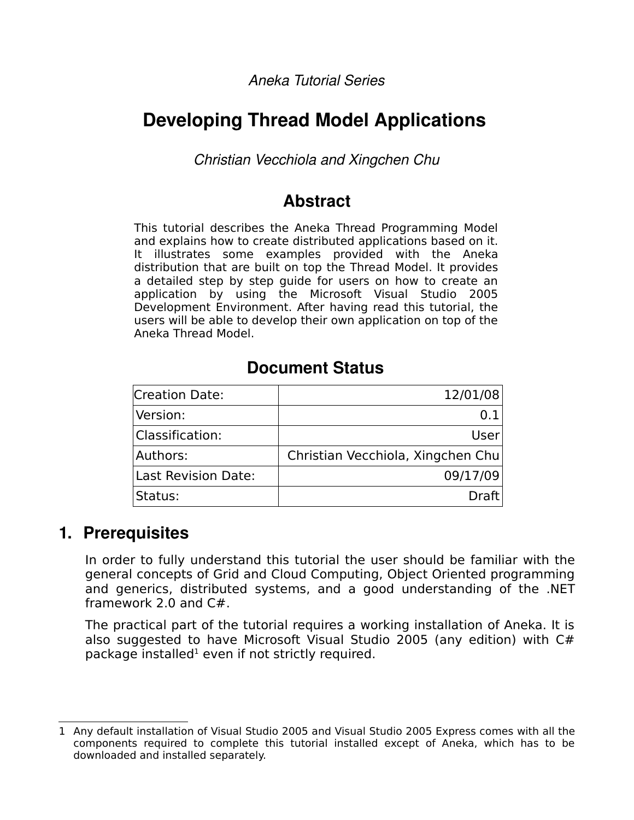*Aneka Tutorial Series*

# **Developing Thread Model Applications**

*Christian Vecchiola and Xingchen Chu*

# **Abstract**

This tutorial describes the Aneka Thread Programming Model and explains how to create distributed applications based on it. It illustrates some examples provided with the Aneka distribution that are built on top the Thread Model. It provides a detailed step by step guide for users on how to create an application by using the Microsoft Visual Studio 2005 Development Environment. After having read this tutorial, the users will be able to develop their own application on top of the Aneka Thread Model.

# **Document Status**

| <b>Creation Date:</b> | 12/01/08                          |
|-----------------------|-----------------------------------|
| Version:              |                                   |
| Classification:       | User                              |
| Authors:              | Christian Vecchiola, Xingchen Chu |
| Last Revision Date:   | 09/17/09                          |
| Status:               | Draft                             |

# **1. Prerequisites**

In order to fully understand this tutorial the user should be familiar with the general concepts of Grid and Cloud Computing, Object Oriented programming and generics, distributed systems, and a good understanding of the .NET framework 2.0 and C#.

The practical part of the tutorial requires a working installation of Aneka. It is also suggested to have Microsoft Visual Studio 2005 (any edition) with C# package installed $^1$  $^1$  even if not strictly required.

<span id="page-0-0"></span><sup>1</sup> Any default installation of Visual Studio 2005 and Visual Studio 2005 Express comes with all the components required to complete this tutorial installed except of Aneka, which has to be downloaded and installed separately.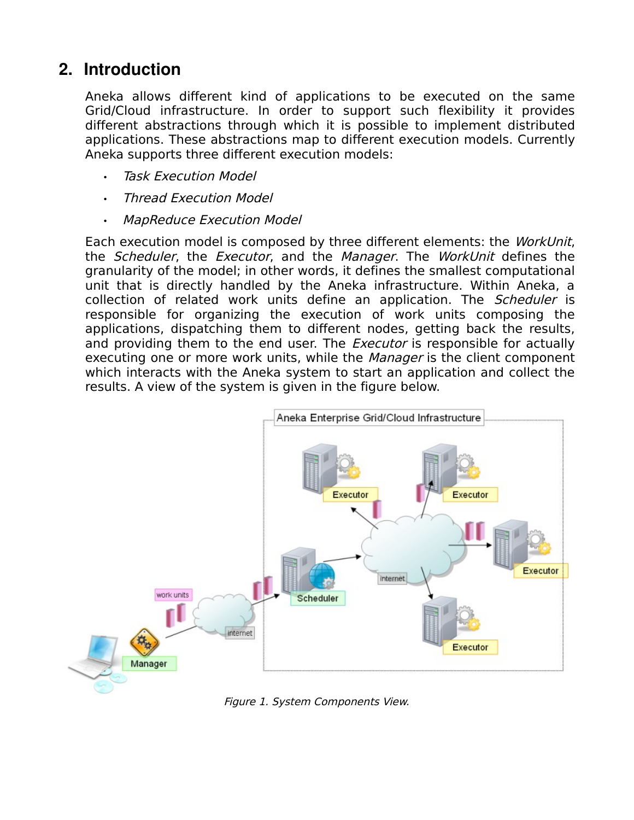# **2. Introduction**

Aneka allows different kind of applications to be executed on the same Grid/Cloud infrastructure. In order to support such flexibility it provides different abstractions through which it is possible to implement distributed applications. These abstractions map to different execution models. Currently Aneka supports three different execution models:

- **Task Execution Model**
- Thread Execution Model
- MapReduce Execution Model

Each execution model is composed by three different elements: the WorkUnit, the Scheduler, the Executor, and the Manager. The WorkUnit defines the granularity of the model; in other words, it defines the smallest computational unit that is directly handled by the Aneka infrastructure. Within Aneka, a collection of related work units define an application. The *Scheduler* is responsible for organizing the execution of work units composing the applications, dispatching them to different nodes, getting back the results, and providing them to the end user. The *Executor* is responsible for actually executing one or more work units, while the *Manager* is the client component which interacts with the Aneka system to start an application and collect the results. A view of the system is given in the figure below.



Figure 1. System Components View.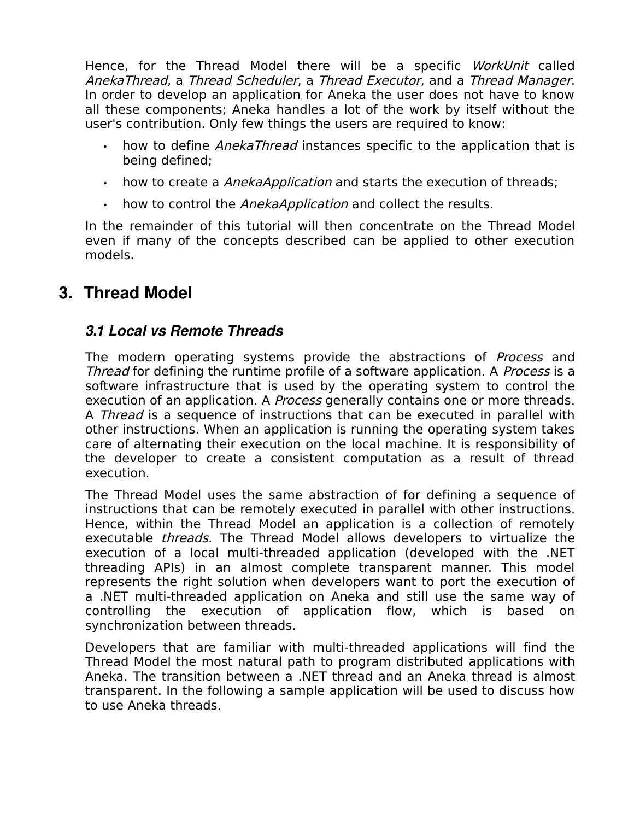Hence, for the Thread Model there will be a specific WorkUnit called AnekaThread, a Thread Scheduler, a Thread Executor, and a Thread Manager. In order to develop an application for Aneka the user does not have to know all these components; Aneka handles a lot of the work by itself without the user's contribution. Only few things the users are required to know:

- how to define AnekaThread instances specific to the application that is being defined;
- how to create a AnekaApplication and starts the execution of threads;
- how to control the AnekaApplication and collect the results.

In the remainder of this tutorial will then concentrate on the Thread Model even if many of the concepts described can be applied to other execution models.

# **3. Thread Model**

## *3.1 Local vs Remote Threads*

The modern operating systems provide the abstractions of *Process* and Thread for defining the runtime profile of a software application. A *Process* is a software infrastructure that is used by the operating system to control the execution of an application. A *Process* generally contains one or more threads. A *Thread* is a sequence of instructions that can be executed in parallel with other instructions. When an application is running the operating system takes care of alternating their execution on the local machine. It is responsibility of the developer to create a consistent computation as a result of thread execution.

The Thread Model uses the same abstraction of for defining a sequence of instructions that can be remotely executed in parallel with other instructions. Hence, within the Thread Model an application is a collection of remotely executable threads. The Thread Model allows developers to virtualize the execution of a local multi-threaded application (developed with the .NET threading APIs) in an almost complete transparent manner. This model represents the right solution when developers want to port the execution of a .NET multi-threaded application on Aneka and still use the same way of controlling the execution of application flow, which is based on synchronization between threads.

Developers that are familiar with multi-threaded applications will find the Thread Model the most natural path to program distributed applications with Aneka. The transition between a .NET thread and an Aneka thread is almost transparent. In the following a sample application will be used to discuss how to use Aneka threads.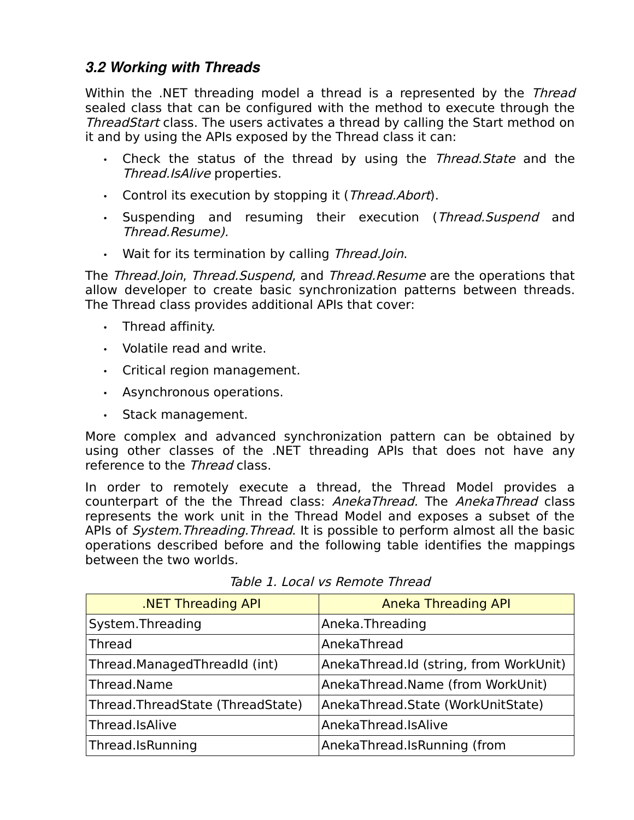### *3.2 Working with Threads*

Within the .NET threading model a thread is a represented by the Thread sealed class that can be configured with the method to execute through the Thread Start class. The users activates a thread by calling the Start method on it and by using the APIs exposed by the Thread class it can:

- Check the status of the thread by using the Thread. State and the Thread.IsAlive properties.
- Control its execution by stopping it (*Thread.Abort*).
- Suspending and resuming their execution (Thread.Suspend and Thread.Resume).
- Wait for its termination by calling Thread. Join.

The Thread.Join, Thread.Suspend, and Thread.Resume are the operations that allow developer to create basic synchronization patterns between threads. The Thread class provides additional APIs that cover:

- Thread affinity.
- Volatile read and write.
- Critical region management.
- Asynchronous operations.
- Stack management.

More complex and advanced synchronization pattern can be obtained by using other classes of the .NET threading APIs that does not have any reference to the Thread class.

In order to remotely execute a thread, the Thread Model provides a counterpart of the the Thread class: AnekaThread. The AnekaThread class represents the work unit in the Thread Model and exposes a subset of the APIs of System. Threading. Thread. It is possible to perform almost all the basic operations described before and the following table identifies the mappings between the two worlds.

| <b>.NET Threading API</b>        | <b>Aneka Threading API</b>             |
|----------------------------------|----------------------------------------|
| System. Threading                | Aneka.Threading                        |
| <b>Thread</b>                    | AnekaThread                            |
| Thread.ManagedThreadId (int)     | AnekaThread.Id (string, from WorkUnit) |
| Thread.Name                      | AnekaThread.Name (from WorkUnit)       |
| Thread.ThreadState (ThreadState) | AnekaThread.State (WorkUnitState)      |
| Thread.IsAlive                   | AnekaThread.IsAlive                    |
| Thread.IsRunning                 | AnekaThread.IsRunning (from            |

Table 1. Local vs Remote Thread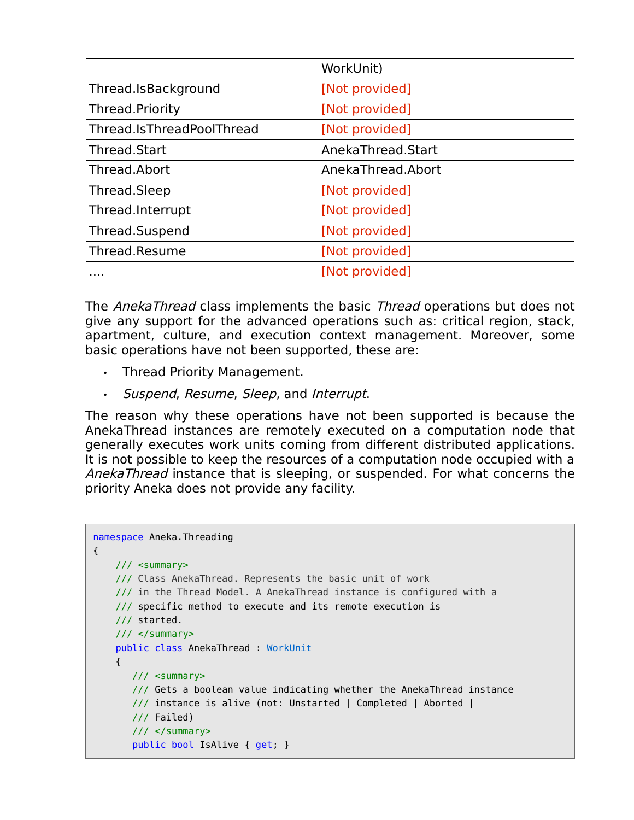|                           | WorkUnit)         |
|---------------------------|-------------------|
| Thread.IsBackground       | [Not provided]    |
| Thread.Priority           | [Not provided]    |
| Thread.IsThreadPoolThread | [Not provided]    |
| Thread.Start              | AnekaThread.Start |
| Thread.Abort              | AnekaThread.Abort |
| Thread.Sleep              | [Not provided]    |
| Thread.Interrupt          | [Not provided]    |
| Thread.Suspend            | [Not provided]    |
| Thread.Resume             | [Not provided]    |
| .                         | [Not provided]    |

The AnekaThread class implements the basic Thread operations but does not give any support for the advanced operations such as: critical region, stack, apartment, culture, and execution context management. Moreover, some basic operations have not been supported, these are:

- Thread Priority Management.
- Suspend, Resume, Sleep, and Interrupt.

The reason why these operations have not been supported is because the AnekaThread instances are remotely executed on a computation node that generally executes work units coming from different distributed applications. It is not possible to keep the resources of a computation node occupied with a AnekaThread instance that is sleeping, or suspended. For what concerns the priority Aneka does not provide any facility.

```
namespace Aneka.Threading 
{
    /// <summary>
    /// Class AnekaThread. Represents the basic unit of work 
     /// in the Thread Model. A AnekaThread instance is configured with a 
     /// specific method to execute and its remote execution is
    /// started.
     /// </summary>
   public class AnekaThread : WorkUnit
     {
      11/ <summary>
        /// Gets a boolean value indicating whether the AnekaThread instance 
        /// instance is alive (not: Unstarted | Completed | Aborted |
        /// Failed)
        /// </summary>
        public bool IsAlive { get; }
```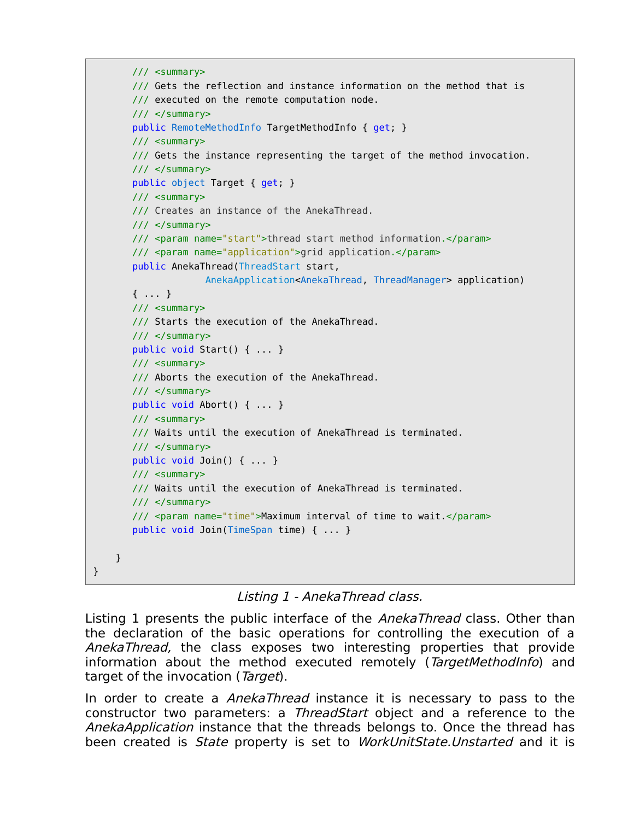```
 /// <summary>
    /// Gets the reflection and instance information on the method that is
    /// executed on the remote computation node.
    /// </summary>
    public RemoteMethodInfo TargetMethodInfo { get; }
    /// <summary>
    /// Gets the instance representing the target of the method invocation. 
    /// </summary>
    public object Target { get; }
   // <summary>
    /// Creates an instance of the AnekaThread.
    /// </summary>
    /// <param name="start">thread start method information.</param>
    /// <param name="application">grid application.</param>
    public AnekaThread(ThreadStart start, 
                  AnekaApplication<AnekaThread, ThreadManager> application)
    { ... }
    /// <summary>
    /// Starts the execution of the AnekaThread.
    /// </summary>
    public void Start() { ... }
    /// <summary>
    /// Aborts the execution of the AnekaThread.
    /// </summary>
    public void Abort() { ... }
    /// <summary>
    /// Waits until the execution of AnekaThread is terminated.
    /// </summary>
    public void Join() { ... }
    /// <summary>
    /// Waits until the execution of AnekaThread is terminated.
   // / </summary>
    /// <param name="time">Maximum interval of time to wait.</param> 
    public void Join(TimeSpan time) { ... }
 }
```
Listing 1 - AnekaThread class.

}

Listing 1 presents the public interface of the AnekaThread class. Other than the declaration of the basic operations for controlling the execution of a AnekaThread, the class exposes two interesting properties that provide information about the method executed remotely (TargetMethodInfo) and target of the invocation (Target).

In order to create a *AnekaThread* instance it is necessary to pass to the constructor two parameters: a ThreadStart object and a reference to the AnekaApplication instance that the threads belongs to. Once the thread has been created is *State* property is set to *WorkUnitState.Unstarted* and it is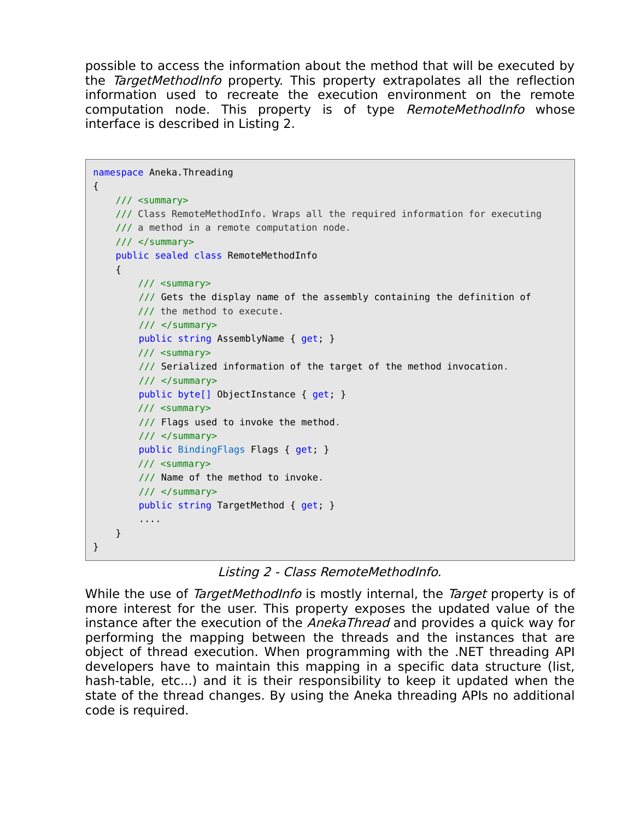possible to access the information about the method that will be executed by the TargetMethodInfo property. This property extrapolates all the reflection information used to recreate the execution environment on the remote computation node. This property is of type RemoteMethodInfo whose interface is described in Listing 2.

```
namespace Aneka.Threading 
{
     /// <summary>
     /// Class RemoteMethodInfo. Wraps all the required information for executing
     /// a method in a remote computation node.
     /// </summary>
     public sealed class RemoteMethodInfo 
     {
         /// <summary>
         /// Gets the display name of the assembly containing the definition of
         /// the method to execute.
         /// </summary>
         public string AssemblyName { get; }
         /// <summary>
         /// Serialized information of the target of the method invocation.
         /// </summary>
         public byte[] ObjectInstance { get; }
         /// <summary>
         /// Flags used to invoke the method.
         /// </summary>
         public BindingFlags Flags { get; }
         /// <summary>
         /// Name of the method to invoke.
         /// </summary>
         public string TargetMethod { get; }
         ....
    }
}
```
Listing 2 - Class RemoteMethodInfo.

While the use of TargetMethodInfo is mostly internal, the Target property is of more interest for the user. This property exposes the updated value of the instance after the execution of the *AnekaThread* and provides a quick way for performing the mapping between the threads and the instances that are object of thread execution. When programming with the .NET threading API developers have to maintain this mapping in a specific data structure (list, hash-table, etc...) and it is their responsibility to keep it updated when the state of the thread changes. By using the Aneka threading APIs no additional code is required.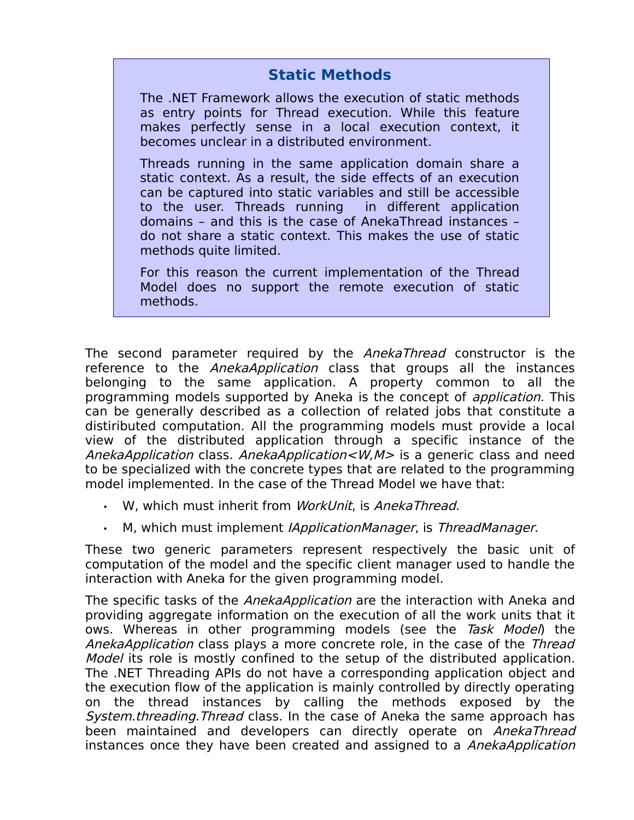## **Static Methods**

The .NET Framework allows the execution of static methods as entry points for Thread execution. While this feature makes perfectly sense in a local execution context, it becomes unclear in a distributed environment.

Threads running in the same application domain share a static context. As a result, the side effects of an execution can be captured into static variables and still be accessible to the user. Threads running in different application domains – and this is the case of AnekaThread instances – do not share a static context. This makes the use of static methods quite limited.

For this reason the current implementation of the Thread Model does no support the remote execution of static methods.

The second parameter required by the AnekaThread constructor is the reference to the *AnekaApplication* class that groups all the instances belonging to the same application. A property common to all the programming models supported by Aneka is the concept of application. This can be generally described as a collection of related jobs that constitute a distiributed computation. All the programming models must provide a local view of the distributed application through a specific instance of the AnekaApplication class. AnekaApplication< $W, M$ > is a generic class and need to be specialized with the concrete types that are related to the programming model implemented. In the case of the Thread Model we have that:

- W, which must inherit from WorkUnit, is AnekaThread.
- M, which must implement IApplicationManager, is ThreadManager.

These two generic parameters represent respectively the basic unit of computation of the model and the specific client manager used to handle the interaction with Aneka for the given programming model.

The specific tasks of the *AnekaApplication* are the interaction with Aneka and providing aggregate information on the execution of all the work units that it ows. Whereas in other programming models (see the Task Model) the AnekaApplication class plays a more concrete role, in the case of the Thread Model its role is mostly confined to the setup of the distributed application. The .NET Threading APIs do not have a corresponding application object and the execution flow of the application is mainly controlled by directly operating on the thread instances by calling the methods exposed by the System.threading. Thread class. In the case of Aneka the same approach has been maintained and developers can directly operate on AnekaThread instances once they have been created and assigned to a AnekaApplication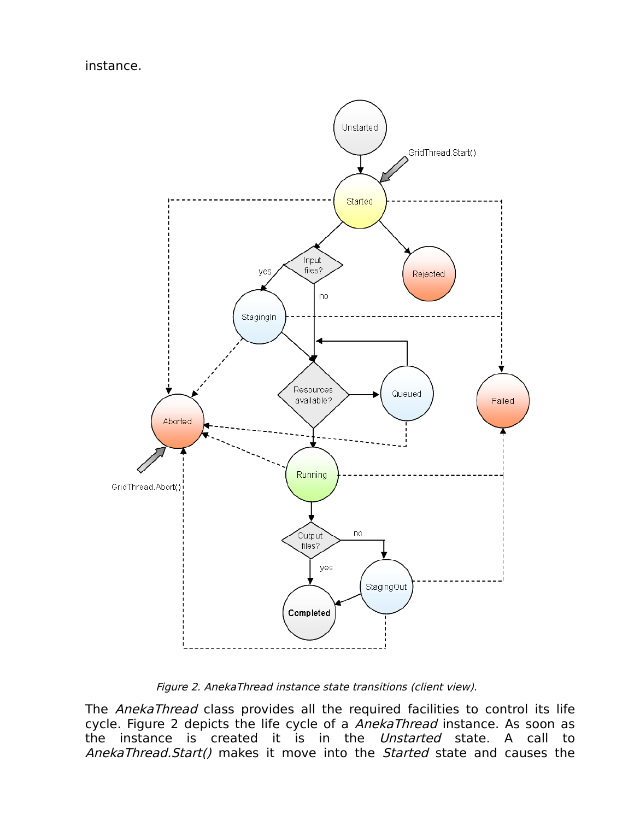instance.



Figure 2. AnekaThread instance state transitions (client view).

The AnekaThread class provides all the required facilities to control its life cycle. Figure 2 depicts the life cycle of a AnekaThread instance. As soon as the instance is created it is in the Unstarted state. A call to AnekaThread.Start() makes it move into the Started state and causes the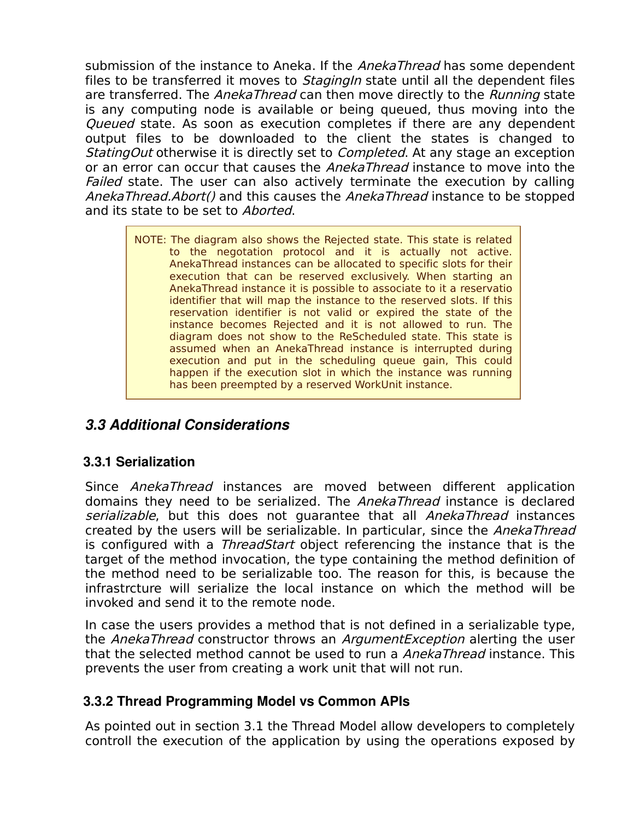submission of the instance to Aneka. If the AnekaThread has some dependent files to be transferred it moves to *StagingIn* state until all the dependent files are transferred. The AnekaThread can then move directly to the Running state is any computing node is available or being queued, thus moving into the Queued state. As soon as execution completes if there are any dependent output files to be downloaded to the client the states is changed to StatingOut otherwise it is directly set to *Completed*. At any stage an exception or an error can occur that causes the *AnekaThread* instance to move into the Failed state. The user can also actively terminate the execution by calling AnekaThread.Abort() and this causes the AnekaThread instance to be stopped and its state to be set to *Aborted*.

> NOTE: The diagram also shows the Rejected state. This state is related to the negotation protocol and it is actually not active. AnekaThread instances can be allocated to specific slots for their execution that can be reserved exclusively. When starting an AnekaThread instance it is possible to associate to it a reservatio identifier that will map the instance to the reserved slots. If this reservation identifier is not valid or expired the state of the instance becomes Rejected and it is not allowed to run. The diagram does not show to the ReScheduled state. This state is assumed when an AnekaThread instance is interrupted during execution and put in the scheduling queue gain, This could happen if the execution slot in which the instance was running has been preempted by a reserved WorkUnit instance.

### *3.3 Additional Considerations*

#### **3.3.1 Serialization**

Since AnekaThread instances are moved between different application domains they need to be serialized. The AnekaThread instance is declared serializable, but this does not quarantee that all AnekaThread instances created by the users will be serializable. In particular, since the AnekaThread is configured with a *ThreadStart* object referencing the instance that is the target of the method invocation, the type containing the method definition of the method need to be serializable too. The reason for this, is because the infrastrcture will serialize the local instance on which the method will be invoked and send it to the remote node.

In case the users provides a method that is not defined in a serializable type, the AnekaThread constructor throws an ArgumentException alerting the user that the selected method cannot be used to run a *AnekaThread* instance. This prevents the user from creating a work unit that will not run.

#### **3.3.2 Thread Programming Model vs Common APIs**

As pointed out in section 3.1 the Thread Model allow developers to completely controll the execution of the application by using the operations exposed by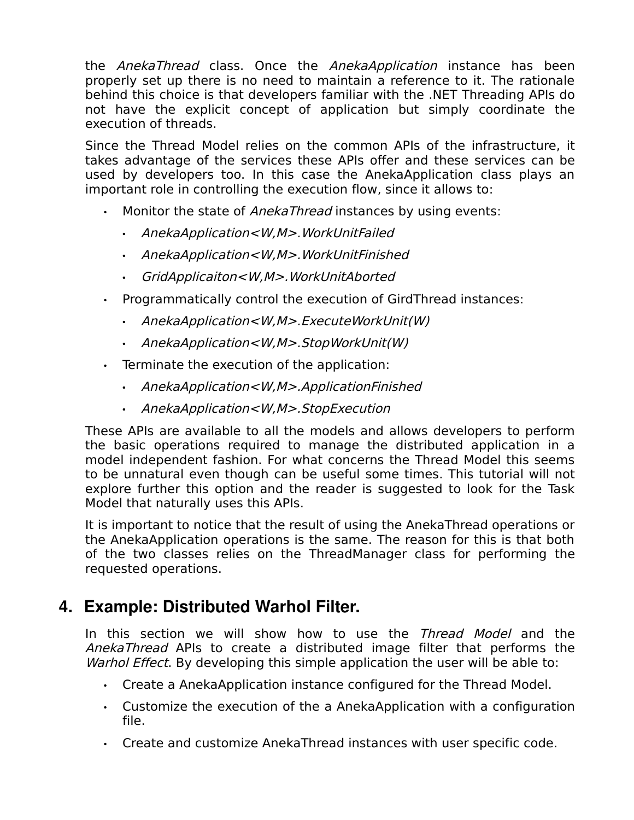the AnekaThread class. Once the AnekaApplication instance has been properly set up there is no need to maintain a reference to it. The rationale behind this choice is that developers familiar with the .NET Threading APIs do not have the explicit concept of application but simply coordinate the execution of threads.

Since the Thread Model relies on the common APIs of the infrastructure, it takes advantage of the services these APIs offer and these services can be used by developers too. In this case the AnekaApplication class plays an important role in controlling the execution flow, since it allows to:

- Monitor the state of *AnekaThread* instances by using events:
	- AnekaApplication<W,M>.WorkUnitFailed
	- AnekaApplication<W,M>.WorkUnitFinished
	- GridApplicaiton<W,M>.WorkUnitAborted
- Programmatically control the execution of GirdThread instances:
	- AnekaApplication<W,M>.ExecuteWorkUnit(W)
	- AnekaApplication<W,M>.StopWorkUnit(W)
- Terminate the execution of the application:
	- AnekaApplication<W,M>.ApplicationFinished
	- AnekaApplication<W,M>.StopExecution

These APIs are available to all the models and allows developers to perform the basic operations required to manage the distributed application in a model independent fashion. For what concerns the Thread Model this seems to be unnatural even though can be useful some times. This tutorial will not explore further this option and the reader is suggested to look for the Task Model that naturally uses this APIs.

It is important to notice that the result of using the AnekaThread operations or the AnekaApplication operations is the same. The reason for this is that both of the two classes relies on the ThreadManager class for performing the requested operations.

# **4. Example: Distributed Warhol Filter.**

In this section we will show how to use the Thread Model and the AnekaThread APIs to create a distributed image filter that performs the Warhol Effect. By developing this simple application the user will be able to:

- Create a AnekaApplication instance configured for the Thread Model.
- Customize the execution of the a AnekaApplication with a configuration file.
- Create and customize AnekaThread instances with user specific code.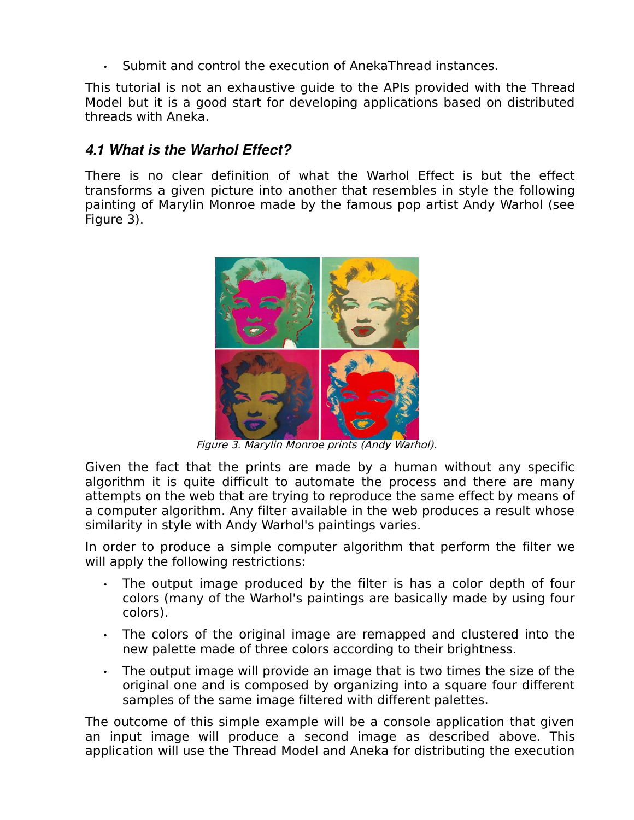• Submit and control the execution of AnekaThread instances.

This tutorial is not an exhaustive guide to the APIs provided with the Thread Model but it is a good start for developing applications based on distributed threads with Aneka.

## *4.1 What is the Warhol Effect?*

There is no clear definition of what the Warhol Effect is but the effect transforms a given picture into another that resembles in style the following painting of Marylin Monroe made by the famous pop artist Andy Warhol (see Figure 3).



Figure 3. Marylin Monroe prints (Andy Warhol).

Given the fact that the prints are made by a human without any specific algorithm it is quite difficult to automate the process and there are many attempts on the web that are trying to reproduce the same effect by means of a computer algorithm. Any filter available in the web produces a result whose similarity in style with Andy Warhol's paintings varies.

In order to produce a simple computer algorithm that perform the filter we will apply the following restrictions:

- The output image produced by the filter is has a color depth of four colors (many of the Warhol's paintings are basically made by using four colors).
- The colors of the original image are remapped and clustered into the new palette made of three colors according to their brightness.
- The output image will provide an image that is two times the size of the original one and is composed by organizing into a square four different samples of the same image filtered with different palettes.

The outcome of this simple example will be a console application that given an input image will produce a second image as described above. This application will use the Thread Model and Aneka for distributing the execution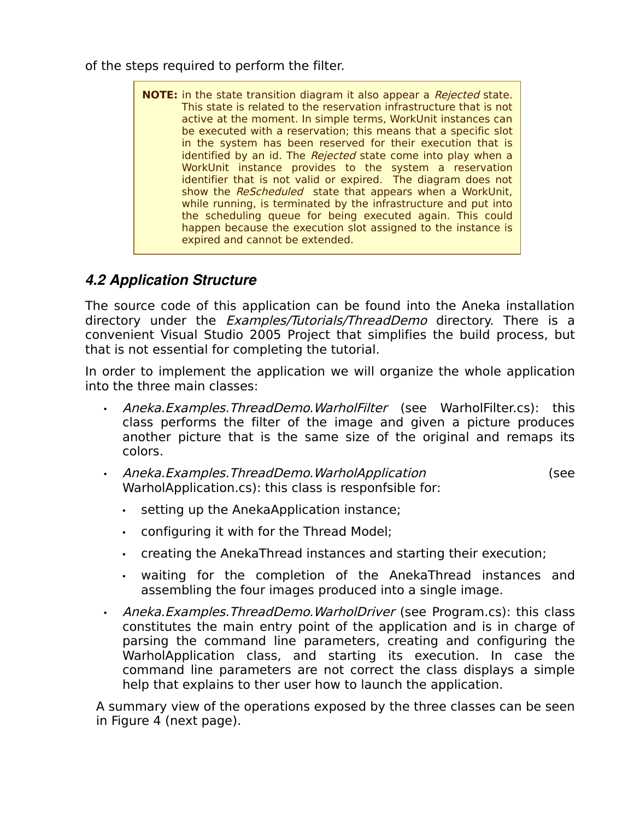of the steps required to perform the filter.

**NOTE:** in the state transition diagram it also appear a Rejected state. This state is related to the reservation infrastructure that is not active at the moment. In simple terms, WorkUnit instances can be executed with a reservation; this means that a specific slot in the system has been reserved for their execution that is identified by an id. The Rejected state come into play when a WorkUnit instance provides to the system a reservation identifier that is not valid or expired. The diagram does not show the ReScheduled state that appears when a WorkUnit, while running, is terminated by the infrastructure and put into the scheduling queue for being executed again. This could happen because the execution slot assigned to the instance is expired and cannot be extended.

## *4.2 Application Structure*

The source code of this application can be found into the Aneka installation directory under the *Examples/Tutorials/ThreadDemo* directory. There is a convenient Visual Studio 2005 Project that simplifies the build process, but that is not essential for completing the tutorial.

In order to implement the application we will organize the whole application into the three main classes:

- Aneka.Examples.ThreadDemo.WarholFilter (see WarholFilter.cs): this class performs the filter of the image and given a picture produces another picture that is the same size of the original and remaps its colors.
- Aneka.Examples.ThreadDemo.WarholApplication (see WarholApplication.cs): this class is responfsible for:
	- setting up the AnekaApplication instance;
	- configuring it with for the Thread Model;
	- creating the AnekaThread instances and starting their execution;
	- waiting for the completion of the AnekaThread instances and assembling the four images produced into a single image.
- Aneka.Examples.ThreadDemo.WarholDriver (see Program.cs): this class constitutes the main entry point of the application and is in charge of parsing the command line parameters, creating and configuring the WarholApplication class, and starting its execution. In case the command line parameters are not correct the class displays a simple help that explains to ther user how to launch the application.

A summary view of the operations exposed by the three classes can be seen in Figure 4 (next page).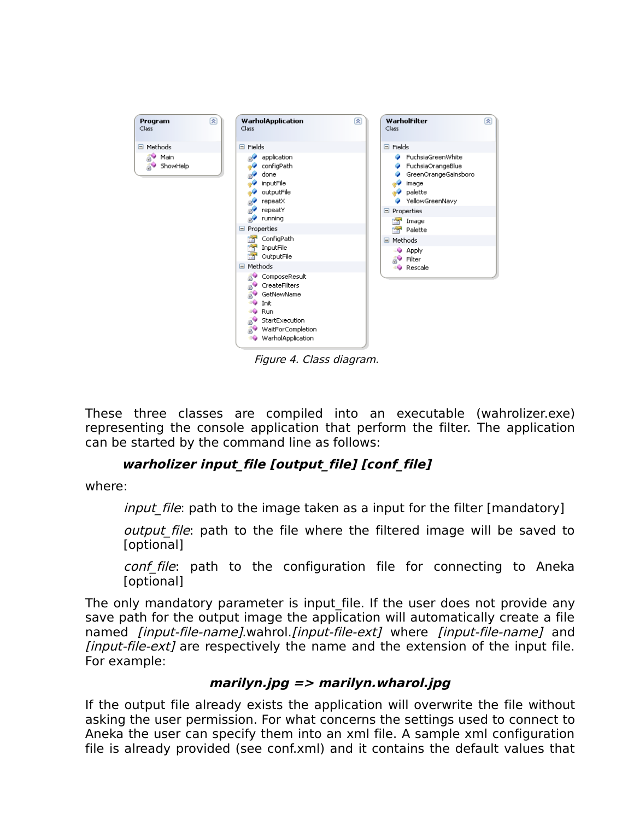

Figure 4. Class diagram.

These three classes are compiled into an executable (wahrolizer.exe) representing the console application that perform the filter. The application can be started by the command line as follows:

#### **warholizer input\_file [output\_file] [conf\_file]**

where:

*input file*: path to the image taken as a input for the filter [mandatory]

*output file*: path to the file where the filtered image will be saved to [optional]

conf file: path to the configuration file for connecting to Aneka [optional]

The only mandatory parameter is input file. If the user does not provide any save path for the output image the application will automatically create a file named *[input-file-name]*.wahrol.*[input-file-ext]* where *[input-file-name]* and [input-file-ext] are respectively the name and the extension of the input file. For example:

#### **marilyn.jpg => marilyn.wharol.jpg**

If the output file already exists the application will overwrite the file without asking the user permission. For what concerns the settings used to connect to Aneka the user can specify them into an xml file. A sample xml configuration file is already provided (see conf.xml) and it contains the default values that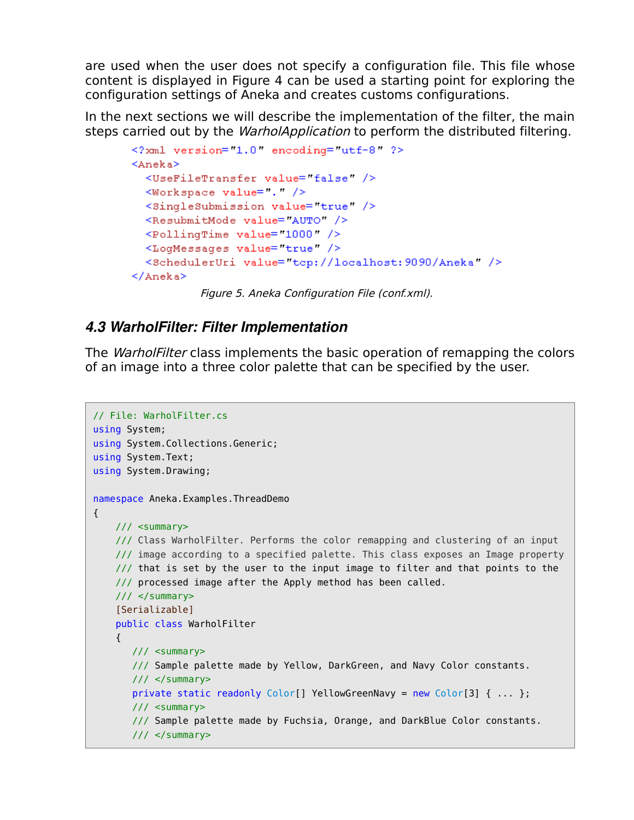are used when the user does not specify a configuration file. This file whose content is displayed in Figure 4 can be used a starting point for exploring the configuration settings of Aneka and creates customs configurations.

In the next sections we will describe the implementation of the filter, the main steps carried out by the *WarholApplication* to perform the distributed filtering.

```
<?xml version="1.0" encoding="utf-8" ?>
<Aneka>
  <UseFileTransfer value= false" />
  <Workspace value= . />
  <SingleSubmission value="true" />
  <ResubmitMode value="AUTO" />
  <PollingTime value="1000" />
  <LogMessages value= true />
  <SchedulerUri value="tcp://localhost:9090/Aneka" />
\langle/Aneka>
```
Figure 5. Aneka Configuration File (conf.xml).

### *4.3 WarholFilter: Filter Implementation*

The *WarholFilter* class implements the basic operation of remapping the colors of an image into a three color palette that can be specified by the user.

```
// File: WarholFilter.cs
using System;
using System.Collections.Generic;
using System.Text;
using System.Drawing;
namespace Aneka.Examples.ThreadDemo 
{
    /// <summary>
     /// Class WarholFilter. Performs the color remapping and clustering of an input
    /// image according to a specified palette. This class exposes an Image property
    \frac{1}{1} that is set by the user to the input image to filter and that points to the
     /// processed image after the Apply method has been called.
     /// </summary>
     [Serializable]
     public class WarholFilter 
     {
        /// <summary>
        /// Sample palette made by Yellow, DarkGreen, and Navy Color constants.
        /// </summary>
        private static readonly Color[] YellowGreenNavy = new Color[3] { ... };
        /// <summary>
        /// Sample palette made by Fuchsia, Orange, and DarkBlue Color constants.
        /// </summary>
```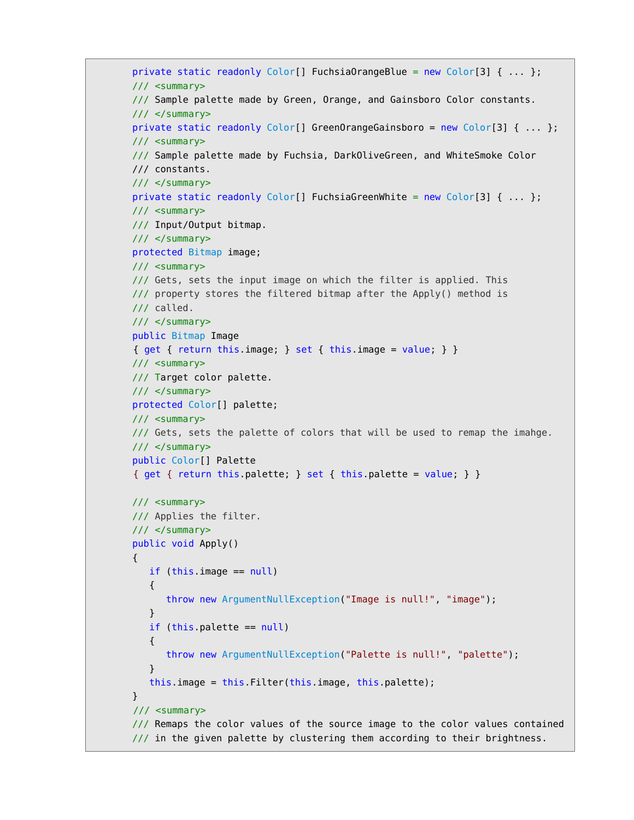```
 private static readonly Color[] FuchsiaOrangeBlue = new Color[3] { ... };
       /// <summary>
       /// Sample palette made by Green, Orange, and Gainsboro Color constants.
       /// </summary>
       private static readonly Color[] GreenOrangeGainsboro = new Color[3] { ... };
       /// <summary>
       /// Sample palette made by Fuchsia, DarkOliveGreen, and WhiteSmoke Color
       /// constants.
       /// </summary>
      private static readonly Color[] FuchsiaGreenWhite = new Color[3] { ... };
       /// <summary>
       /// Input/Output bitmap.
       /// </summary>
       protected Bitmap image;
       /// <summary>
       /// Gets, sets the input image on which the filter is applied. This
       /// property stores the filtered bitmap after the Apply() method is
       /// called.
       /// </summary>
       public Bitmap Image
        { get { return this.image; } set { this.image = value; } }
      11/ <summary>
       /// Target color palette.
       /// </summary>
       protected Color[] palette;
       /// <summary>
       /// Gets, sets the palette of colors that will be used to remap the imahge.
       /// </summary>
       public Color[] Palette
        { get { return this.palette; } set { this.palette = value; } }
       /// <summary> 
       /// Applies the filter.
       /// </summary>
       public void Apply()
        { 
          if (this.image == null) 
           {
              throw new ArgumentNullException("Image is null!", "image");
           }
          if (this.palette == null) 
          {
              throw new ArgumentNullException("Palette is null!", "palette");
 }
           this.image = this.Filter(this.image, this.palette);
       }
        /// <summary>
       /// Remaps the color values of the source image to the color values contained
       /// in the given palette by clustering them according to their brightness.
```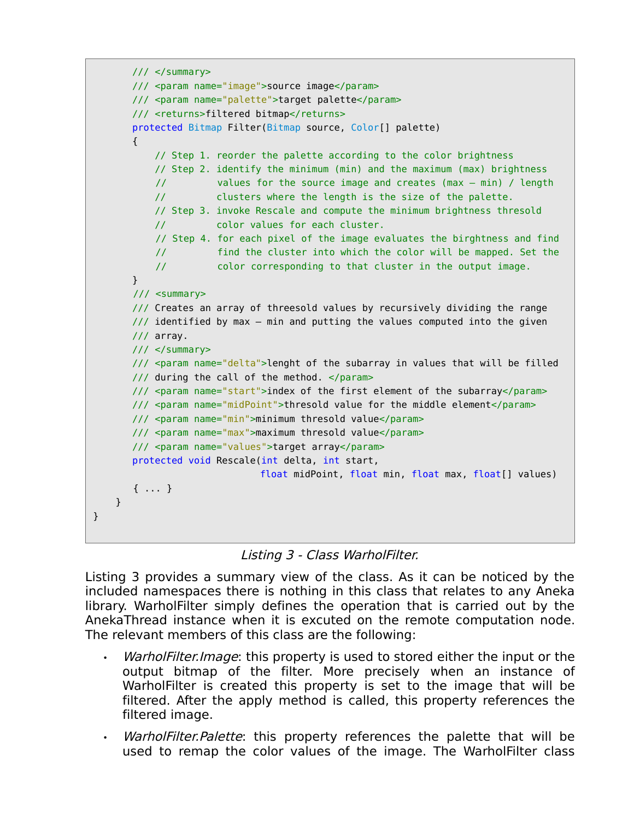```
 /// </summary>
    /// <param name="image">source image</param>
    /// <param name="palette">target palette</param>
   /// <returns>filtered bitmap</returns>
    protected Bitmap Filter(Bitmap source, Color[] palette) 
    { 
        // Step 1. reorder the palette according to the color brightness
        // Step 2. identify the minimum (min) and the maximum (max) brightness
        // values for the source image and creates (max – min) / length
        // clusters where the length is the size of the palette.
        // Step 3. invoke Rescale and compute the minimum brightness thresold
        // color values for each cluster.
        // Step 4. for each pixel of the image evaluates the birghtness and find
        // find the cluster into which the color will be mapped. Set the
        // color corresponding to that cluster in the output image.
   }
    /// <summary>
    /// Creates an array of threesold values by recursively dividing the range
   \frac{1}{1} identified by max – min and putting the values computed into the given
   /// array.
   11/ \leq/summary>
    /// <param name="delta">lenght of the subarray in values that will be filled
   // during the call of the method. \lt/param>
    /// <param name="start">index of the first element of the subarray</param>
    /// <param name="midPoint">thresold value for the middle element</param>
    /// <param name="min">minimum thresold value</param>
    /// <param name="max">maximum thresold value</param>
    /// <param name="values">target array</param>
    protected void Rescale(int delta, int start, 
                          float midPoint, float min, float max, float[] values)
    { ... }
 }
```


}

Listing 3 provides a summary view of the class. As it can be noticed by the included namespaces there is nothing in this class that relates to any Aneka library. WarholFilter simply defines the operation that is carried out by the AnekaThread instance when it is excuted on the remote computation node. The relevant members of this class are the following:

- *WarholFilter.Image*: this property is used to stored either the input or the output bitmap of the filter. More precisely when an instance of WarholFilter is created this property is set to the image that will be filtered. After the apply method is called, this property references the filtered image.
- *WarholFilter.Palette*: this property references the palette that will be used to remap the color values of the image. The WarholFilter class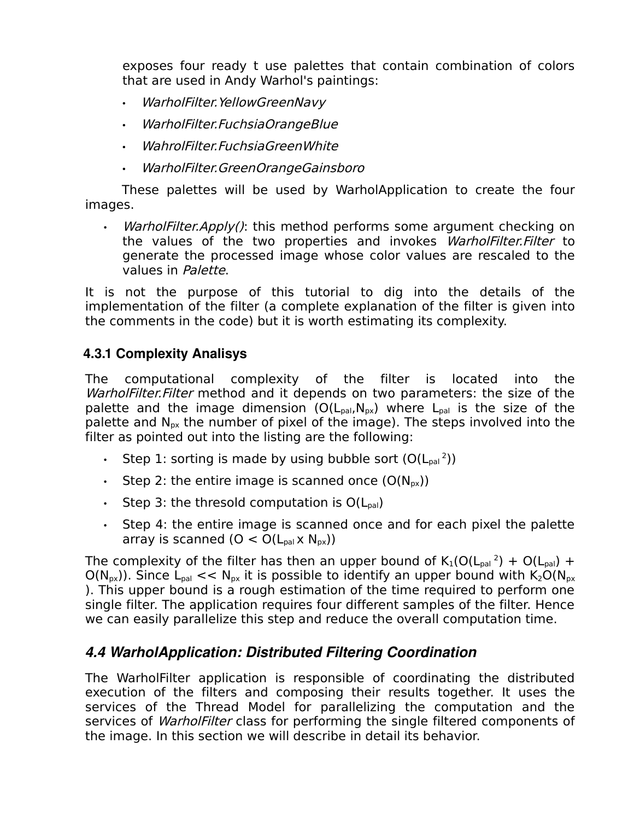exposes four ready t use palettes that contain combination of colors that are used in Andy Warhol's paintings:

- WarholFilter.YellowGreenNavy
- WarholFilter.FuchsiaOrangeBlue
- WahrolFilter.FuchsiaGreenWhite
- WarholFilter.GreenOrangeGainsboro

These palettes will be used by WarholApplication to create the four images.

WarholFilter.Apply(): this method performs some argument checking on the values of the two properties and invokes WarholFilter. Filter to generate the processed image whose color values are rescaled to the values in Palette.

It is not the purpose of this tutorial to dig into the details of the implementation of the filter (a complete explanation of the filter is given into the comments in the code) but it is worth estimating its complexity.

### **4.3.1 Complexity Analisys**

The computational complexity of the filter is located into the WarholFilter. Filter method and it depends on two parameters: the size of the palette and the image dimension  $(O(L_{\text{pal}}, N_{\text{px}}))$  where  $L_{\text{pal}}$  is the size of the palette and  $N_{px}$  the number of pixel of the image). The steps involved into the filter as pointed out into the listing are the following:

- Step 1: sorting is made by using bubble sort  $(O(L_{pal}^2))$
- Step 2: the entire image is scanned once  $(O(N_{px}))$
- Step 3: the thresold computation is  $O(L_{\text{bal}})$
- Step 4: the entire image is scanned once and for each pixel the palette array is scanned  $(O < O(L_{\text{pal}} \times N_{\text{px}}))$

The complexity of the filter has then an upper bound of  $K_1(O(L_{\text{pal}}^2) + O(L_{\text{pal}}) +$  $O(N_{px})$ ). Since L<sub>pal</sub> << N<sub>px</sub> it is possible to identify an upper bound with K<sub>2</sub>O(N<sub>px</sub>) ). This upper bound is a rough estimation of the time required to perform one single filter. The application requires four different samples of the filter. Hence we can easily parallelize this step and reduce the overall computation time.

### *4.4 WarholApplication: Distributed Filtering Coordination*

The WarholFilter application is responsible of coordinating the distributed execution of the filters and composing their results together. It uses the services of the Thread Model for parallelizing the computation and the services of *WarholFilter* class for performing the single filtered components of the image. In this section we will describe in detail its behavior.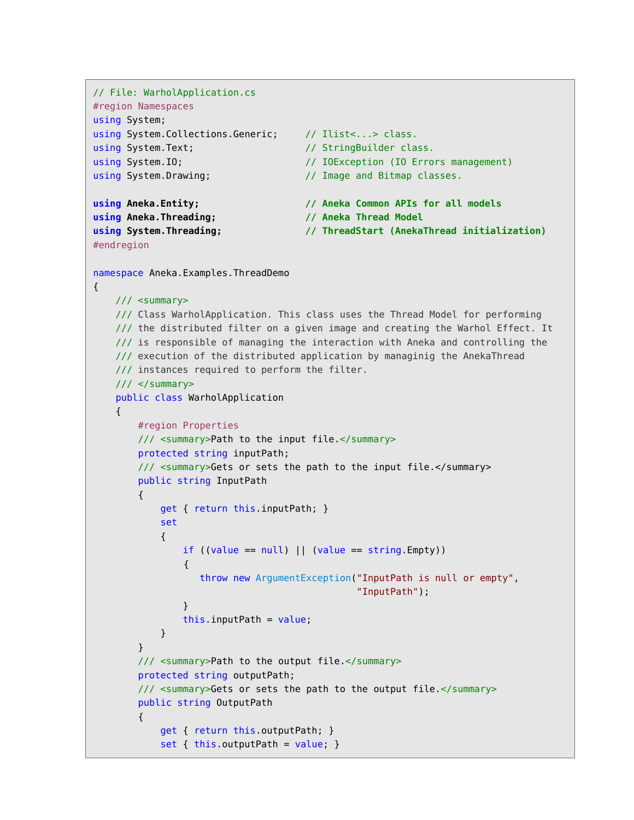```
// File: WarholApplication.cs
#region Namespaces
using System;
using System.Collections.Generic; // Ilist<...> class.
using System.Text; \frac{1}{2} // StringBuilder class.
using System.IO; \frac{1}{2} // IOException (IO Errors management)
using System.Drawing; \frac{1}{2} // Image and Bitmap classes.
using Aneka.Entity; // Aneka Common APIs for all models
using Aneka.Threading; // Aneka Thread Model
using System.Threading; // ThreadStart (AnekaThread initialization)
#endregion
namespace Aneka.Examples.ThreadDemo 
{
    /// <summary>
    /// Class WarholApplication. This class uses the Thread Model for performing
    /// the distributed filter on a given image and creating the Warhol Effect. It
    /// is responsible of managing the interaction with Aneka and controlling the
    /// execution of the distributed application by managinig the AnekaThread
    /// instances required to perform the filter.
    /// </summary>
    public class WarholApplication
    {
        #region Properties
         /// <summary>Path to the input file.</summary> 
         protected string inputPath;
         /// <summary>Gets or sets the path to the input file.</summary>
         public string InputPath 
         {
            get { return this.inputPath; }
            set
            { 
               if ((value == null) || (value == string.Fmpty)) {
                   throw new ArgumentException("InputPath is null or empty",
                                               "InputPath");
 }
                this.inputPath = value;
            }
         }
         /// <summary>Path to the output file.</summary> 
         protected string outputPath;
         /// <summary>Gets or sets the path to the output file.</summary> 
         public string OutputPath 
         {
            get { return this.outputPath; }
           set { this.outputPath = value; }
```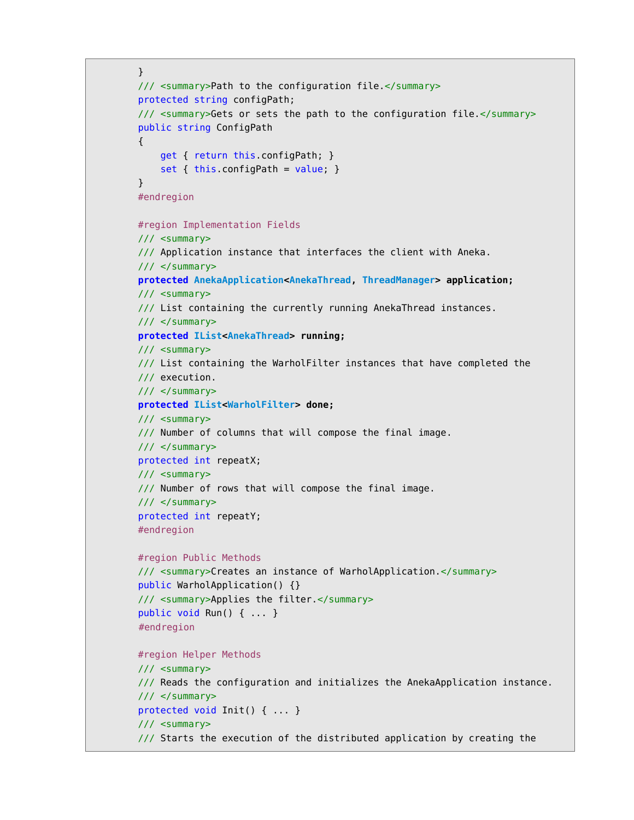```
 }
 /// <summary>Path to the configuration file.</summary> 
 protected string configPath;
 /// <summary>Gets or sets the path to the configuration file.</summary> 
 public string ConfigPath 
 {
     get { return this.configPath; }
    set { this.configPath = value; }
 }
 #endregion
 #region Implementation Fields
 /// <summary>
 /// Application instance that interfaces the client with Aneka.
 /// </summary>
 protected AnekaApplication<AnekaThread, ThreadManager> application;
 /// <summary>
 /// List containing the currently running AnekaThread instances.
// / </summary>
 protected IList<AnekaThread> running;
 /// <summary>
 /// List containing the WarholFilter instances that have completed the
 /// execution.
11/ \leq/summary>
 protected IList<WarholFilter> done;
 /// <summary>
 /// Number of columns that will compose the final image.
 /// </summary>
 protected int repeatX;
 /// <summary>
 /// Number of rows that will compose the final image.
11/ \leq/summary>
 protected int repeatY;
 #endregion
 #region Public Methods
 /// <summary>Creates an instance of WarholApplication.</summary>
 public WarholApplication() {}
 /// <summary>Applies the filter.</summary>
 public void Run() { ... }
 #endregion 
 #region Helper Methods
 /// <summary> 
 /// Reads the configuration and initializes the AnekaApplication instance.
11/ \leq/summary>
 protected void Init() { ... }
 /// <summary> 
 /// Starts the execution of the distributed application by creating the
```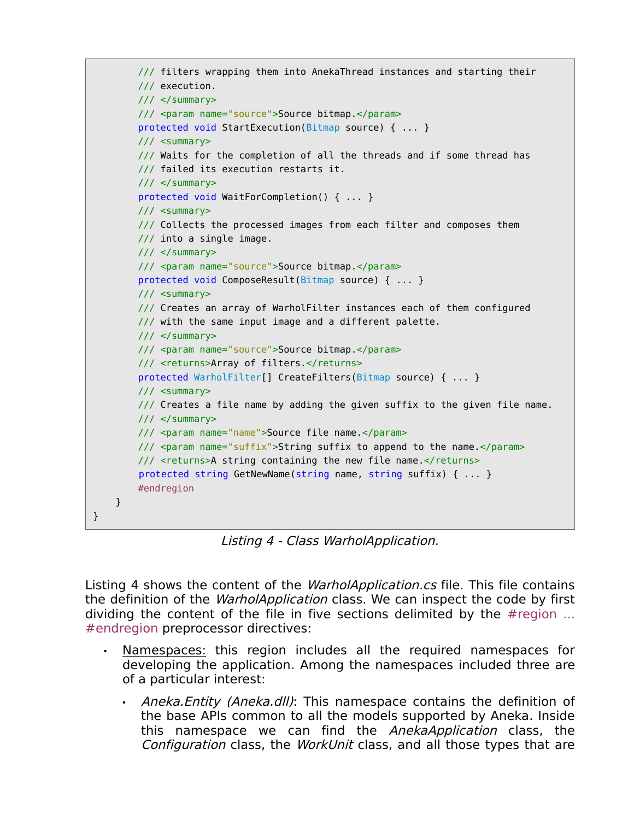```
 /// filters wrapping them into AnekaThread instances and starting their
     /// execution.
    11/ \leq/summary>
     /// <param name="source">Source bitmap.</param>
     protected void StartExecution(Bitmap source) { ... } 
     /// <summary> 
     /// Waits for the completion of all the threads and if some thread has
     /// failed its execution restarts it.
     /// </summary>
     protected void WaitForCompletion() { ... } 
     /// <summary> 
    /// Collects the processed images from each filter and composes them
     /// into a single image.
    11/ \leq/summary>
     /// <param name="source">Source bitmap.</param>
     protected void ComposeResult(Bitmap source) { ... } 
     /// <summary> 
     /// Creates an array of WarholFilter instances each of them configured
     /// with the same input image and a different palette.
     /// </summary>
     /// <param name="source">Source bitmap.</param>
     /// <returns>Array of filters.</returns>
     protected WarholFilter[] CreateFilters(Bitmap source) { ... } 
     /// <summary> 
     /// Creates a file name by adding the given suffix to the given file name.
    // / </summary>
     /// <param name="name">Source file name.</param>
     /// <param name="suffix">String suffix to append to the name.</param>
     /// <returns>A string containing the new file name.</returns>
     protected string GetNewName(string name, string suffix) { ... }
     #endregion
 }
```
Listing 4 - Class WarholApplication.

}

Listing 4 shows the content of the *WarholApplication.cs* file. This file contains the definition of the *WarholApplication* class. We can inspect the code by first dividing the content of the file in five sections delimited by the #region ... #endregion preprocessor directives:

- Namespaces: this region includes all the required namespaces for developing the application. Among the namespaces included three are of a particular interest:
	- Aneka.Entity (Aneka.dll): This namespace contains the definition of the base APIs common to all the models supported by Aneka. Inside this namespace we can find the *AnekaApplication* class, the Configuration class, the WorkUnit class, and all those types that are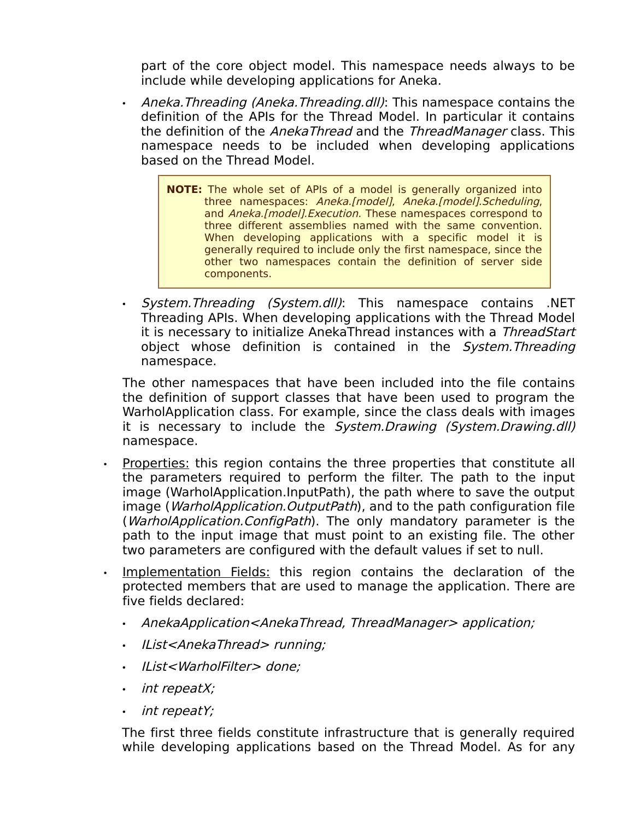part of the core object model. This namespace needs always to be include while developing applications for Aneka.

- Aneka. Threading (Aneka. Threading. dll): This namespace contains the definition of the APIs for the Thread Model. In particular it contains the definition of the AnekaThread and the ThreadManager class. This namespace needs to be included when developing applications based on the Thread Model.
	- **NOTE:** The whole set of APIs of a model is generally organized into three namespaces: Aneka.[model], Aneka.[model].Scheduling, and Aneka.[model].Execution. These namespaces correspond to three different assemblies named with the same convention. When developing applications with a specific model it is generally required to include only the first namespace, since the other two namespaces contain the definition of server side components.
- System.Threading (System.dll): This namespace contains .NET Threading APIs. When developing applications with the Thread Model it is necessary to initialize AnekaThread instances with a ThreadStart object whose definition is contained in the System. Threading namespace.

The other namespaces that have been included into the file contains the definition of support classes that have been used to program the WarholApplication class. For example, since the class deals with images it is necessary to include the System. Drawing (System. Drawing. dll) namespace.

- Properties: this region contains the three properties that constitute all the parameters required to perform the filter. The path to the input image (WarholApplication.InputPath), the path where to save the output image (*WarholApplication.OutputPath*), and to the path configuration file (*WarholApplication.ConfigPath*). The only mandatory parameter is the path to the input image that must point to an existing file. The other two parameters are configured with the default values if set to null.
- Implementation Fields: this region contains the declaration of the protected members that are used to manage the application. There are five fields declared:
	- AnekaApplication<AnekaThread, ThreadManager> application;
	- IList<AnekaThread> running;
	- IList<WarholFilter> done;
	- int repeatX;
	- int repeatY;

The first three fields constitute infrastructure that is generally required while developing applications based on the Thread Model. As for any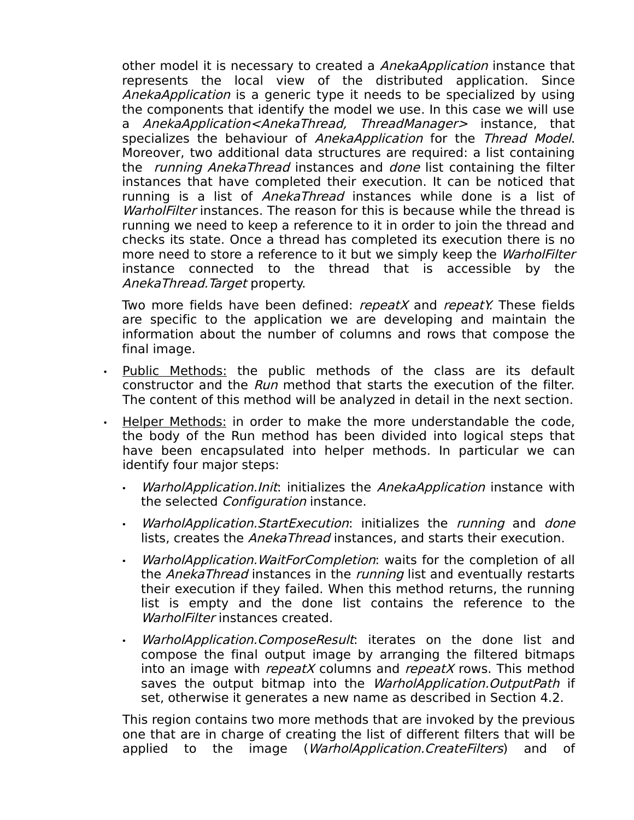other model it is necessary to created a AnekaApplication instance that represents the local view of the distributed application. Since AnekaApplication is a generic type it needs to be specialized by using the components that identify the model we use. In this case we will use a *AnekaApplication<AnekaThread, ThreadManager>* instance, that specializes the behaviour of AnekaApplication for the Thread Model. Moreover, two additional data structures are required: a list containing the *running AnekaThread* instances and *done* list containing the filter instances that have completed their execution. It can be noticed that running is a list of AnekaThread instances while done is a list of WarholFilter instances. The reason for this is because while the thread is running we need to keep a reference to it in order to join the thread and checks its state. Once a thread has completed its execution there is no more need to store a reference to it but we simply keep the *WarholFilter* instance connected to the thread that is accessible by the AnekaThread.Target property.

Two more fields have been defined: *repeatX* and *repeatY*. These fields are specific to the application we are developing and maintain the information about the number of columns and rows that compose the final image.

- Public Methods: the public methods of the class are its default constructor and the Run method that starts the execution of the filter. The content of this method will be analyzed in detail in the next section.
- Helper Methods: in order to make the more understandable the code, the body of the Run method has been divided into logical steps that have been encapsulated into helper methods. In particular we can identify four major steps:
	- WarholApplication. Init: initializes the AnekaApplication instance with the selected *Configuration* instance.
	- WarholApplication.StartExecution: initializes the running and done lists, creates the *AnekaThread* instances, and starts their execution.
	- WarholApplication.WaitForCompletion: waits for the completion of all the AnekaThread instances in the running list and eventually restarts their execution if they failed. When this method returns, the running list is empty and the done list contains the reference to the WarholFilter instances created.
	- WarholApplication.ComposeResult: iterates on the done list and compose the final output image by arranging the filtered bitmaps into an image with *repeatX* columns and *repeatX* rows. This method saves the output bitmap into the WarholApplication. OutputPath if set, otherwise it generates a new name as described in Section 4.2.

This region contains two more methods that are invoked by the previous one that are in charge of creating the list of different filters that will be applied to the image (*WarholApplication.CreateFilters*) and of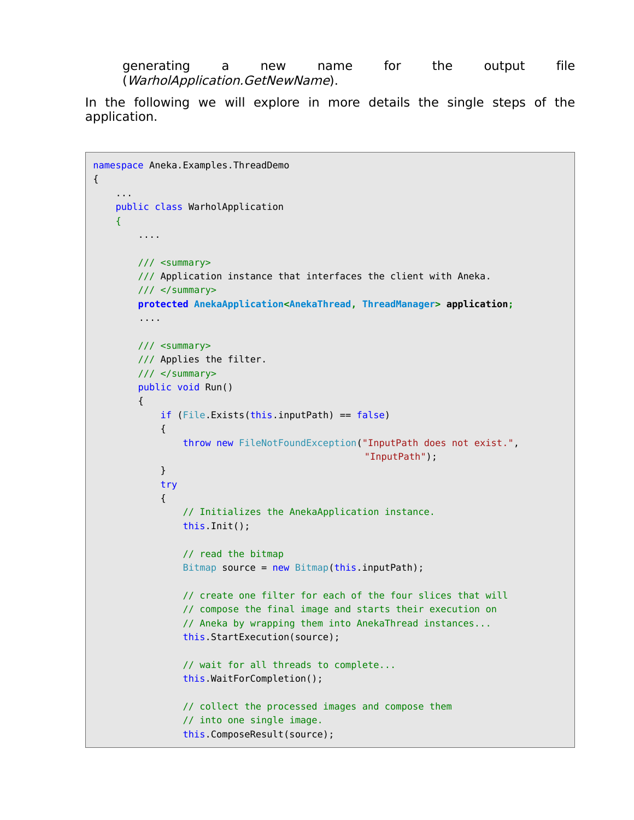generating a new name for the output file (WarholApplication.GetNewName).

In the following we will explore in more details the single steps of the application.

```
namespace Aneka.Examples.ThreadDemo 
{
 ...
    public class WarholApplication
     {
         ....
         /// <summary>
         /// Application instance that interfaces the client with Aneka.
         /// </summary>
         protected AnekaApplication<AnekaThread, ThreadManager> application;
         ....
         /// <summary>
         /// Applies the filter.
         /// </summary>
         public void Run() 
         {
             if (File.Exists(this.inputPath) == false) 
\{ throw new FileNotFoundException("InputPath does not exist.",
                                                  "InputPath");
 }
             try
\{ // Initializes the AnekaApplication instance.
                 this.Init();
                 // read the bitmap 
                Bitmap source = new Bitmap(this.inputPath);
                 // create one filter for each of the four slices that will
                 // compose the final image and starts their execution on 
                 // Aneka by wrapping them into AnekaThread instances...
                 this.StartExecution(source);
                 // wait for all threads to complete...
                 this.WaitForCompletion();
                 // collect the processed images and compose them
                 // into one single image.
                 this.ComposeResult(source);
```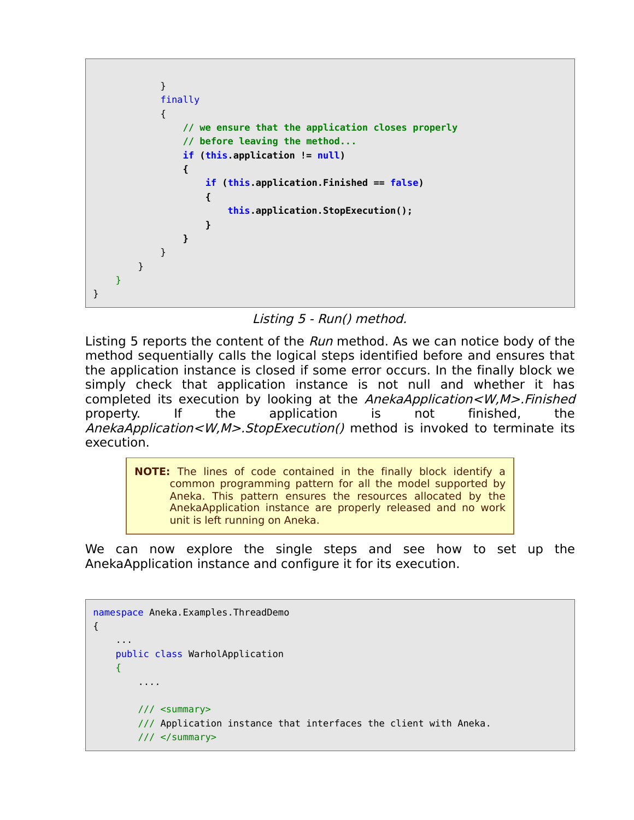```
 }
          finally
\{ // we ensure that the application closes properly
             // before leaving the method...
             if (this.application != null) 
<b>d \{ if (this.application.Finished == false) 
 {
                   this.application.StopExecution();
 }
 }
          } 
       }
   }
}
```
Listing 5 - Run() method.

Listing 5 reports the content of the Run method. As we can notice body of the method sequentially calls the logical steps identified before and ensures that the application instance is closed if some error occurs. In the finally block we simply check that application instance is not null and whether it has completed its execution by looking at the AnekaApplication<W,M>.Finished property. If the application is not finished, the AnekaApplication<W,M>.StopExecution() method is invoked to terminate its execution.

> **NOTE:** The lines of code contained in the finally block identify a common programming pattern for all the model supported by Aneka. This pattern ensures the resources allocated by the AnekaApplication instance are properly released and no work unit is left running on Aneka.

We can now explore the single steps and see how to set up the AnekaApplication instance and configure it for its execution.

```
namespace Aneka.Examples.ThreadDemo 
{
 ...
     public class WarholApplication
     {
         ....
         /// <summary>
         /// Application instance that interfaces the client with Aneka.
         /// </summary>
```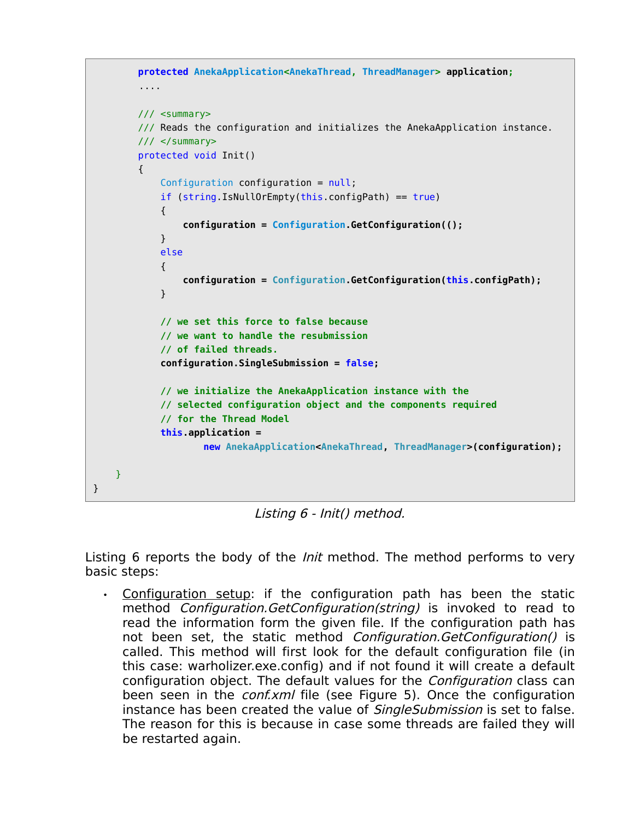```
 protected AnekaApplication<AnekaThread, ThreadManager> application;
         ....
        /// <summary>
        /// Reads the configuration and initializes the AnekaApplication instance.
       11/ \leq/summary>
        protected void Init() 
        {
            Configuration configuration = null;
            if (string.IsNullOrEmpty(this.configPath) == true)
\{ configuration = Configuration.GetConfiguration(();
 }
            else
\{ configuration = Configuration.GetConfiguration(this.configPath);
 }
            // we set this force to false because
            // we want to handle the resubmission
            // of failed threads.
            configuration.SingleSubmission = false;
            // we initialize the AnekaApplication instance with the
            // selected configuration object and the components required
            // for the Thread Model
            this.application = 
                    new AnekaApplication<AnekaThread, ThreadManager>(configuration);
    }
```
Listing 6 - Init() method.

}

Listing 6 reports the body of the *Init* method. The method performs to very basic steps:

• Configuration setup: if the configuration path has been the static method *Configuration.GetConfiguration(string)* is invoked to read to read the information form the given file. If the configuration path has not been set, the static method Configuration.GetConfiguration() is called. This method will first look for the default configuration file (in this case: warholizer.exe.config) and if not found it will create a default configuration object. The default values for the Configuration class can been seen in the *conf.xml* file (see Figure 5). Once the configuration instance has been created the value of *SingleSubmission* is set to false. The reason for this is because in case some threads are failed they will be restarted again.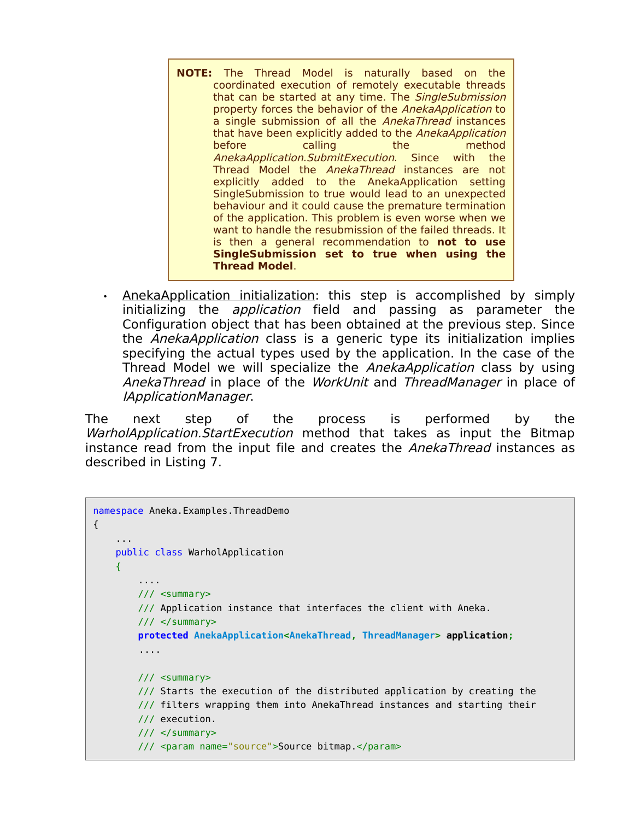- **NOTE:** The Thread Model is naturally based on the coordinated execution of remotely executable threads that can be started at any time. The SingleSubmission property forces the behavior of the AnekaApplication to a single submission of all the AnekaThread instances that have been explicitly added to the AnekaApplication before calling the method AnekaApplication.SubmitExecution. Since with the Thread Model the AnekaThread instances are not explicitly added to the AnekaApplication setting SingleSubmission to true would lead to an unexpected behaviour and it could cause the premature termination of the application. This problem is even worse when we want to handle the resubmission of the failed threads. It is then a general recommendation to **not to use SingleSubmission set to true when using the Thread Model**.
- AnekaApplication initialization: this step is accomplished by simply initializing the *application* field and passing as parameter the Configuration object that has been obtained at the previous step. Since the AnekaApplication class is a generic type its initialization implies specifying the actual types used by the application. In the case of the Thread Model we will specialize the *AnekaApplication* class by using AnekaThread in place of the WorkUnit and ThreadManager in place of IApplicationManager.

The next step of the process is performed by the WarholApplication.StartExecution method that takes as input the Bitmap instance read from the input file and creates the *AnekaThread* instances as described in Listing 7.

```
namespace Aneka.Examples.ThreadDemo 
{
 ...
    public class WarholApplication
     {
         ....
         /// <summary>
         /// Application instance that interfaces the client with Aneka.
         /// </summary>
         protected AnekaApplication<AnekaThread, ThreadManager> application;
         ....
         /// <summary> 
         /// Starts the execution of the distributed application by creating the
         /// filters wrapping them into AnekaThread instances and starting their
         /// execution.
         /// </summary>
         /// <param name="source">Source bitmap.</param>
```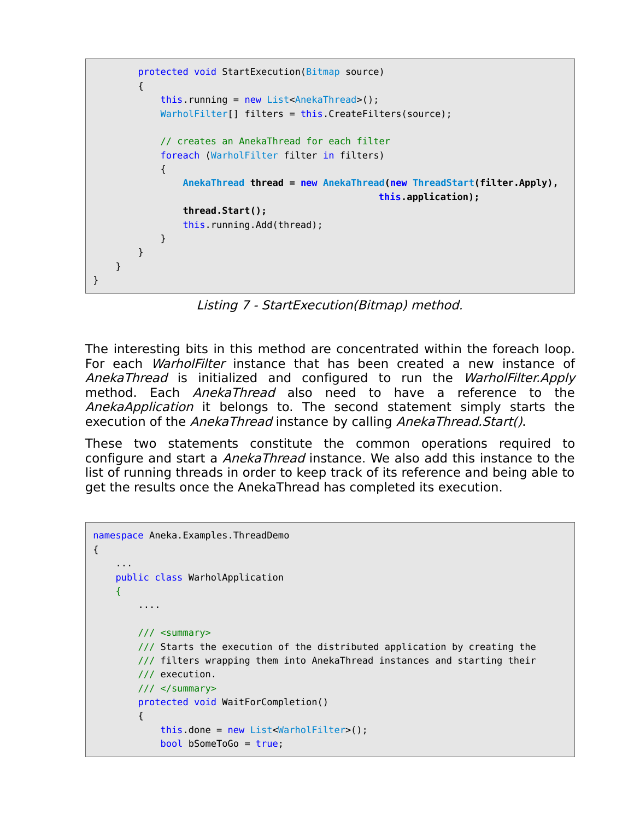```
 protected void StartExecution(Bitmap source) 
         {
            this running = new List<AnekaThread>();
             WarholFilter[] filters = this.CreateFilters(source);
             // creates an AnekaThread for each filter
             foreach (WarholFilter filter in filters)
\{ AnekaThread thread = new AnekaThread(new ThreadStart(filter.Apply),
                                                    this.application);
                 thread.Start();
                 this.running.Add(thread);
            }
        }
    }
}
```
Listing 7 - StartExecution(Bitmap) method.

The interesting bits in this method are concentrated within the foreach loop. For each *WarholFilter* instance that has been created a new instance of AnekaThread is initialized and configured to run the WarholFilter.Apply method. Each AnekaThread also need to have a reference to the AnekaApplication it belongs to. The second statement simply starts the execution of the AnekaThread instance by calling AnekaThread.Start().

These two statements constitute the common operations required to configure and start a *AnekaThread* instance. We also add this instance to the list of running threads in order to keep track of its reference and being able to get the results once the AnekaThread has completed its execution.

```
namespace Aneka.Examples.ThreadDemo 
{
 ...
     public class WarholApplication
    \left\{ \right. ....
         /// <summary> 
         /// Starts the execution of the distributed application by creating the
         /// filters wrapping them into AnekaThread instances and starting their
         /// execution.
         /// </summary>
         protected void WaitForCompletion() 
         {
              this.done = new List<WarholFilter>();
              bool bSomeToGo = true;
```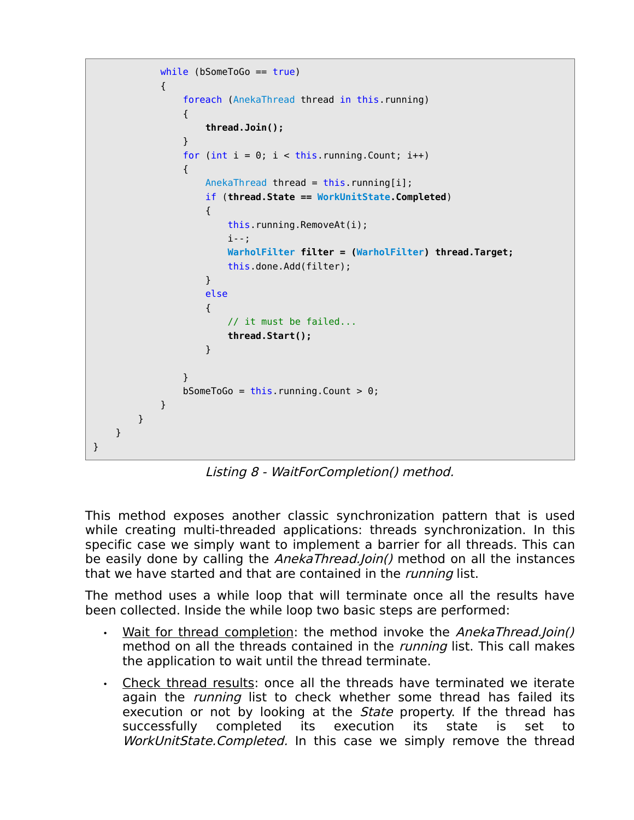```
while (bSomeToGo == true)
\{ foreach (AnekaThread thread in this.running)
 {
                              thread.Join();
 }
                       for (int i = 0; i < this running Count; i++)
 {
                             AnekaThread thread = this.running[i];
                              if (thread.State == WorkUnitState.Completed)
\{ and \{ this.running.RemoveAt(i);
                                    i--;
                                    WarholFilter filter = (WarholFilter) thread.Target;
                                   this.done.Add(filter);
denotes the control of the second property of the second property of the second property \} else
\{ // it must be failed...
                                   thread.Start();
denotes the control of the second property of the second property of the second property \}denotes the control of the second property of the second property of the second property of the second property of the second property of the second property of the second property of the second property of the second prop
                       bSomeToGo = this.running.Count > 0;
                  }
            }
      }
}
```
Listing 8 - WaitForCompletion() method.

This method exposes another classic synchronization pattern that is used while creating multi-threaded applications: threads synchronization. In this specific case we simply want to implement a barrier for all threads. This can be easily done by calling the *AnekaThread.Join()* method on all the instances that we have started and that are contained in the *running* list.

The method uses a while loop that will terminate once all the results have been collected. Inside the while loop two basic steps are performed:

- Wait for thread completion: the method invoke the AnekaThread.Join() method on all the threads contained in the *running* list. This call makes the application to wait until the thread terminate.
- Check thread results: once all the threads have terminated we iterate again the *running* list to check whether some thread has failed its execution or not by looking at the *State* property. If the thread has successfully completed its execution its state is set to WorkUnitState.Completed. In this case we simply remove the thread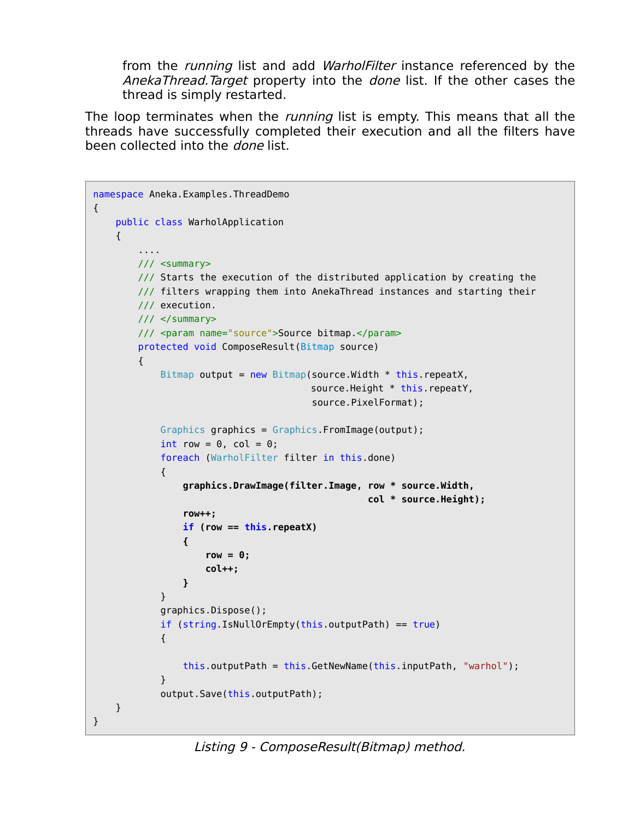from the *running* list and add *WarholFilter* instance referenced by the AnekaThread.Target property into the *done* list. If the other cases the thread is simply restarted.

The loop terminates when the *running* list is empty. This means that all the threads have successfully completed their execution and all the filters have been collected into the done list.

```
namespace Aneka.Examples.ThreadDemo 
{
    public class WarholApplication
    {
         ....
        /// <summary> 
        /// Starts the execution of the distributed application by creating the
        /// filters wrapping them into AnekaThread instances and starting their
        /// execution.
       11/ \leq/summary>
        /// <param name="source">Source bitmap.</param>
        protected void ComposeResult(Bitmap source) 
        {
           Bitmap output = new Bitmap(source.Width * this.repeatX,
                                      source.Height * this.repeatY,
                                       source.PixelFormat);
            Graphics graphics = Graphics.FromImage(output);
           int row = 0, col = 0;
            foreach (WarholFilter filter in this.done) 
\{ graphics.DrawImage(filter.Image, row * source.Width, 
                                                 col * source.Height);
                row++;
                if (row == this.repeatX) 
<b>d \{ row = 0;
                    col++;
 }
 }
            graphics.Dispose();
            if (string.IsNullOrEmpty(this.outputPath) == true) 
\{ this.outputPath = this.GetNewName(this.inputPath, "warhol");
 }
            output.Save(this.outputPath);
    }
}
```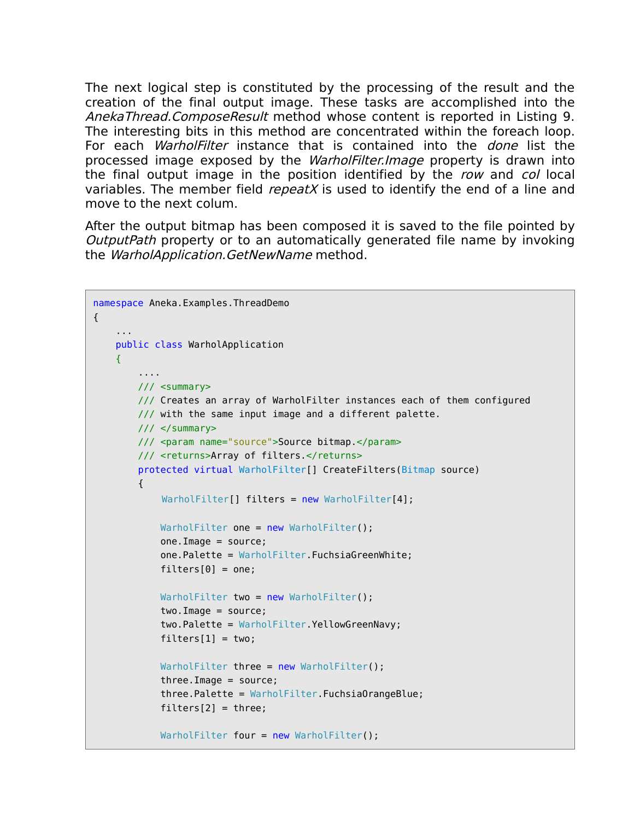The next logical step is constituted by the processing of the result and the creation of the final output image. These tasks are accomplished into the AnekaThread.ComposeResult method whose content is reported in Listing 9. The interesting bits in this method are concentrated within the foreach loop. For each *WarholFilter* instance that is contained into the *done* list the processed image exposed by the WarholFilter.Image property is drawn into the final output image in the position identified by the row and col local variables. The member field *repeatX* is used to identify the end of a line and move to the next colum.

After the output bitmap has been composed it is saved to the file pointed by OutputPath property or to an automatically generated file name by invoking the WarholApplication.GetNewName method.

```
namespace Aneka.Examples.ThreadDemo 
{
 ...
    public class WarholApplication
    \left\{ \right. ....
         /// <summary> 
         /// Creates an array of WarholFilter instances each of them configured
         /// with the same input image and a different palette.
         /// </summary>
         /// <param name="source">Source bitmap.</param>
         /// <returns>Array of filters.</returns>
         protected virtual WarholFilter[] CreateFilters(Bitmap source) 
         {
             WarholFilter[] filters = new WarholFilter[4];
            WarholFilter one = new WarholFilter();
             one.Image = source;
             one.Palette = WarholFilter.FuchsiaGreenWhite;
            filter[0] = one;WarholFilter two = new WarholFilter();
             two.Image = source;
             two.Palette = WarholFilter.YellowGreenNavy;
            filter[1] = two;WarholFilter three = new WarholFilter();
            threei. Image = source;
             three.Palette = WarholFilter.FuchsiaOrangeBlue;
            filter[2] = three:
            WarholFilter four = new WarholFilter();
```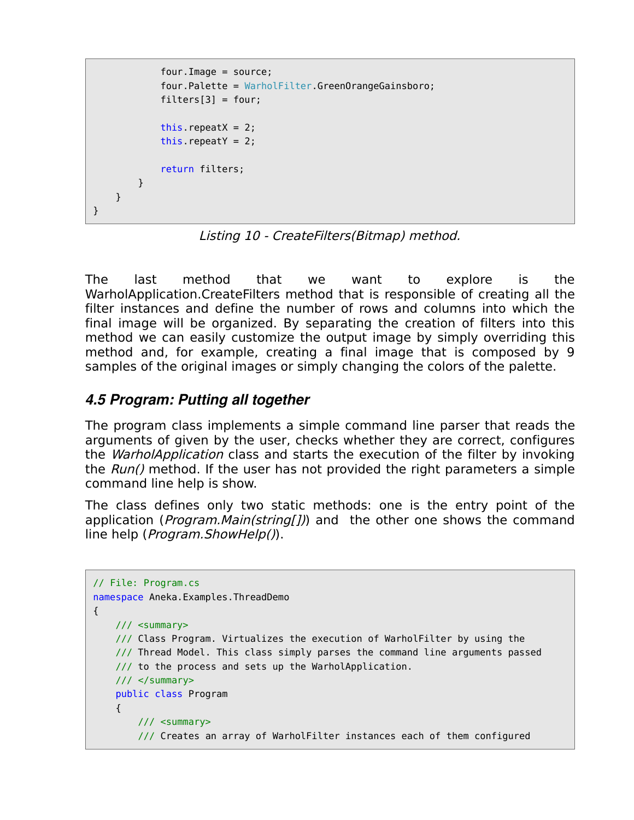```
 four.Image = source;
              four.Palette = WarholFilter.GreenOrangeGainsboro;
             filters[3] = four;this. repeatX = 2;
             this.repeatY = 2;
              return filters;
         }
     }
}
```
Listing 10 - CreateFilters(Bitmap) method.

The last method that we want to explore is the WarholApplication.CreateFilters method that is responsible of creating all the filter instances and define the number of rows and columns into which the final image will be organized. By separating the creation of filters into this method we can easily customize the output image by simply overriding this method and, for example, creating a final image that is composed by 9 samples of the original images or simply changing the colors of the palette.

## *4.5 Program: Putting all together*

The program class implements a simple command line parser that reads the arguments of given by the user, checks whether they are correct, configures the *WarholApplication* class and starts the execution of the filter by invoking the Run() method. If the user has not provided the right parameters a simple command line help is show.

The class defines only two static methods: one is the entry point of the application (*Program.Main(string[])*) and the other one shows the command line help (Program.ShowHelp()).

```
// File: Program.cs
namespace Aneka.Examples.ThreadDemo 
{
    /// <summary> 
    /// Class Program. Virtualizes the execution of WarholFilter by using the
    /// Thread Model. This class simply parses the command line arguments passed
    /// to the process and sets up the WarholApplication.
   11/ \leq/summary>
    public class Program
     {
         /// <summary> 
         /// Creates an array of WarholFilter instances each of them configured
```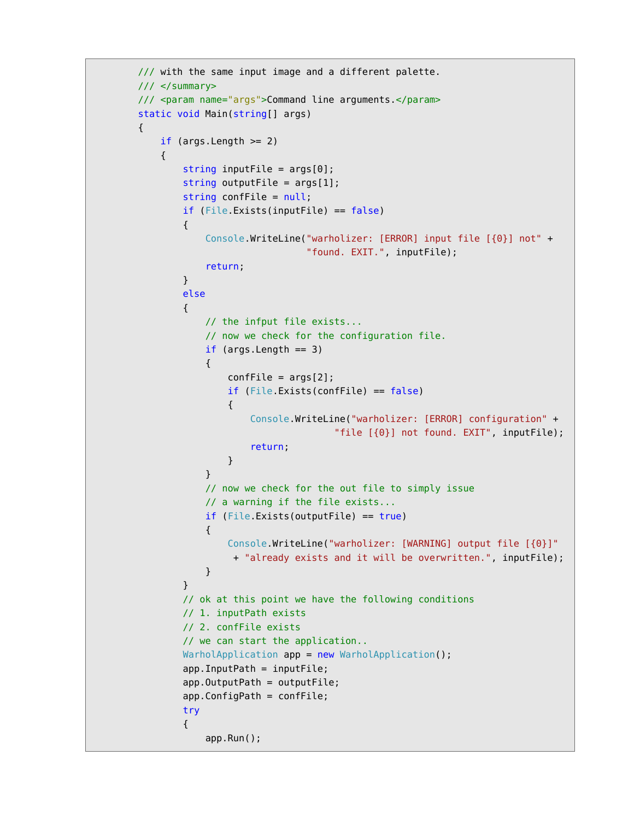```
 /// with the same input image and a different palette.
           /// </summary>
           /// <param name="args">Command line arguments.</param>
           static void Main(string[] args)
           {
               if (args.length \geq 2)\{string inputFile = args[0];
                    string outputFile = args[1];
                     string confFile = null;
                     if (File.Exists(inputFile) == false)
 {
                          Console.WriteLine("warholizer: [ERROR] input file [{0}] not" +
                                                 "found. EXIT.", inputFile);
                          return;
 }
                     else
\{ \} // the infput file exists...
                          // now we check for the configuration file.
                         if (args. Length == 3)
\{confFile = args[2]; if (File.Exists(confFile) == false) 
. The contraction of the contraction \{ Console.WriteLine("warholizer: [ERROR] configuration" +
                                                        "file [{0}] not found. EXIT", inputFile);
                                    return;
denotes the contract of the contract of the second property of the contract of the second property of the second
denotes the control of the second property of the second property of the second property \} // now we check for the out file to simply issue
                          // a warning if the file exists...
                          if (File.Exists(outputFile) == true)
\{ and \{ Console.WriteLine("warholizer: [WARNING] output file [{0}]"
                                + "already exists and it will be overwritten.", inputFile);
denotes the control of the second property of the second property of the second property \}denotes the control of the second property of the second property of the second property of the second property of the second property of the second property of the second property of the second property of the second prop
                     // ok at this point we have the following conditions
                     // 1. inputPath exists
                     // 2. confFile exists
                     // we can start the application..
                    WarholApplication app = new WarholApplication();
                     app.InputPath = inputFile;
                     app.OutputPath = outputFile;
                     app.ConfigPath = confFile;
                     try
\{ app.Run();
```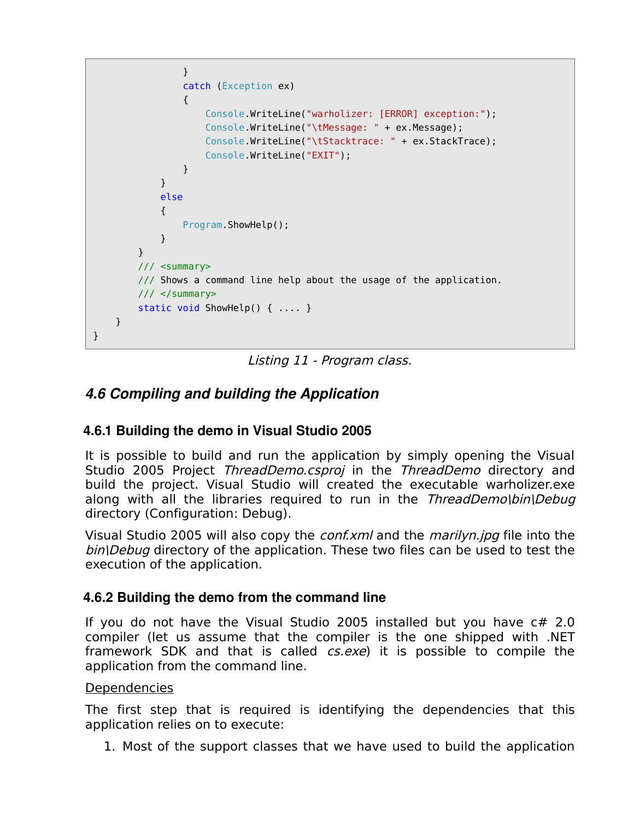```
 }
                       catch (Exception ex) 
\{ Console.WriteLine("warholizer: [ERROR] exception:");
                            Console.WriteLine("\tMessage: " + ex.Message);
                            Console.WriteLine("\tStacktrace: " + ex.StackTrace);
                            Console.WriteLine("EXIT");
denotes the control of the second property of the second property of the second property of the second property of the second property of the second property of the second property of the second property of the second prop
 }
                 else
\{ Program.ShowHelp();
 }
            }
            /// <summary> 
            /// Shows a command line help about the usage of the application.
           11/ \leq/summary>
            static void ShowHelp() { .... }
      }
}
```
Listing 11 - Program class.

### *4.6 Compiling and building the Application*

#### **4.6.1 Building the demo in Visual Studio 2005**

It is possible to build and run the application by simply opening the Visual Studio 2005 Project ThreadDemo.csproj in the ThreadDemo directory and build the project. Visual Studio will created the executable warholizer.exe along with all the libraries required to run in the ThreadDemo\bin\Debug directory (Configuration: Debug).

Visual Studio 2005 will also copy the *conf.xml* and the *marilyn.jpg* file into the bin\Debug directory of the application. These two files can be used to test the execution of the application.

#### **4.6.2 Building the demo from the command line**

If you do not have the Visual Studio 2005 installed but you have c# 2.0 compiler (let us assume that the compiler is the one shipped with .NET framework SDK and that is called *cs.exe*) it is possible to compile the application from the command line.

#### **Dependencies**

The first step that is required is identifying the dependencies that this application relies on to execute:

1. Most of the support classes that we have used to build the application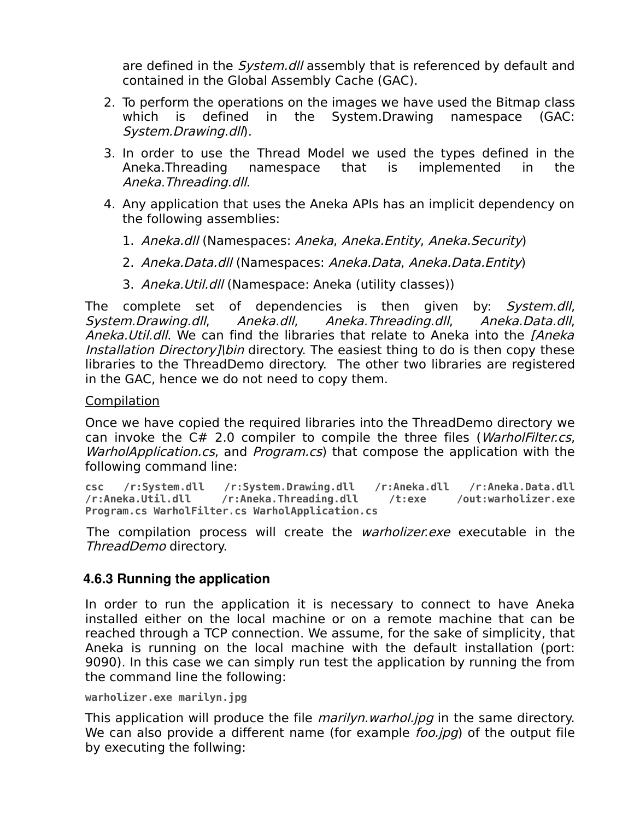are defined in the *System.dll* assembly that is referenced by default and contained in the Global Assembly Cache (GAC).

- 2. To perform the operations on the images we have used the Bitmap class which is defined in the System.Drawing namespace (GAC: System.Drawing.dll).
- 3. In order to use the Thread Model we used the types defined in the Aneka.Threading namespace that is implemented in the Aneka.Threading.dll.
- 4. Any application that uses the Aneka APIs has an implicit dependency on the following assemblies:
	- 1. Aneka.dll (Namespaces: Aneka, Aneka.Entity, Aneka.Security)
	- 2. Aneka.Data.dll (Namespaces: Aneka.Data, Aneka.Data.Entity)
	- 3. Aneka. Util. dll (Namespace: Aneka (utility classes))

The complete set of dependencies is then given by: System.dll, System.Drawing.dll, Aneka.dll, Aneka.Threading.dll, Aneka.Data.dll, Aneka.Util.dll. We can find the libraries that relate to Aneka into the *[Aneka* Installation Directory]\bin directory. The easiest thing to do is then copy these libraries to the ThreadDemo directory. The other two libraries are registered in the GAC, hence we do not need to copy them.

#### **Compilation**

Once we have copied the required libraries into the ThreadDemo directory we can invoke the C# 2.0 compiler to compile the three files (WarholFilter.cs, WarholApplication.cs, and Program.cs) that compose the application with the following command line:

**csc /r:System.dll /r:System.Drawing.dll /r:Aneka.dll /r:Aneka.Data.dll /r:Aneka.Util.dll /r:Aneka.Threading.dll /t:exe /out:warholizer.exe Program.cs WarholFilter.cs WarholApplication.cs**

The compilation process will create the *warholizer.exe* executable in the ThreadDemo directory.

#### **4.6.3 Running the application**

In order to run the application it is necessary to connect to have Aneka installed either on the local machine or on a remote machine that can be reached through a TCP connection. We assume, for the sake of simplicity, that Aneka is running on the local machine with the default installation (port: 9090). In this case we can simply run test the application by running the from the command line the following:

```
warholizer.exe marilyn.jpg
```
This application will produce the file *marilyn.warhol.jpg* in the same directory. We can also provide a different name (for example *foo.jpg*) of the output file by executing the follwing: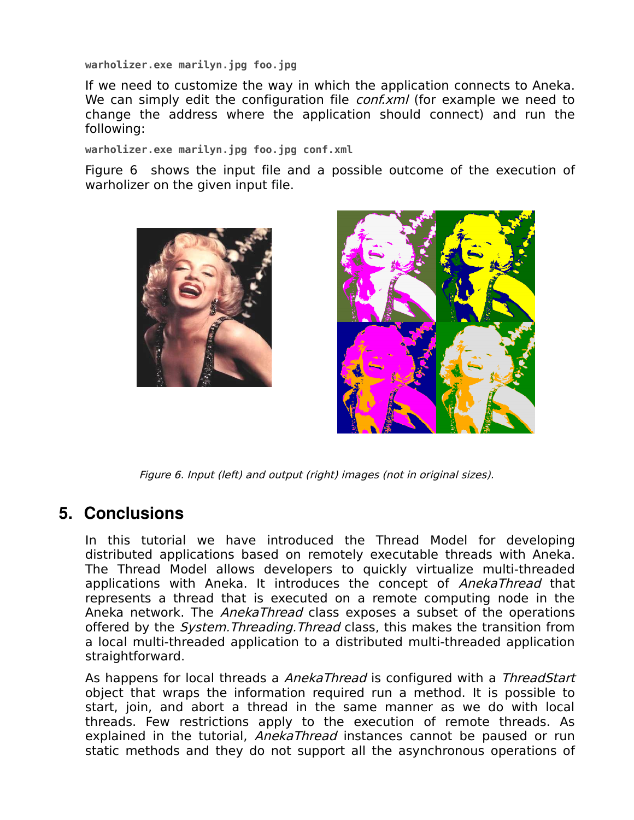**warholizer.exe marilyn.jpg foo.jpg**

If we need to customize the way in which the application connects to Aneka. We can simply edit the configuration file *conf.xml* (for example we need to change the address where the application should connect) and run the following:

**warholizer.exe marilyn.jpg foo.jpg conf.xml**

Figure 6 shows the input file and a possible outcome of the execution of warholizer on the given input file.





Figure 6. Input (left) and output (right) images (not in original sizes).

## **5. Conclusions**

In this tutorial we have introduced the Thread Model for developing distributed applications based on remotely executable threads with Aneka. The Thread Model allows developers to quickly virtualize multi-threaded applications with Aneka. It introduces the concept of AnekaThread that represents a thread that is executed on a remote computing node in the Aneka network. The *AnekaThread* class exposes a subset of the operations offered by the *System. Threading. Thread* class, this makes the transition from a local multi-threaded application to a distributed multi-threaded application straightforward.

As happens for local threads a AnekaThread is configured with a ThreadStart object that wraps the information required run a method. It is possible to start, join, and abort a thread in the same manner as we do with local threads. Few restrictions apply to the execution of remote threads. As explained in the tutorial, AnekaThread instances cannot be paused or run static methods and they do not support all the asynchronous operations of